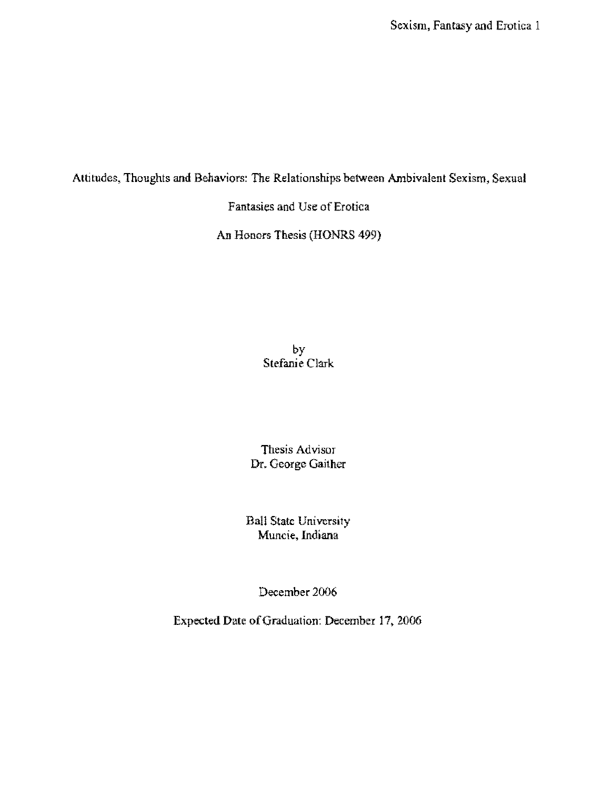Attitudes, **Thoughts and** Behaviors: The Relationships between Ambivalent Sexism, Sexual

Fantasies and Use of Erotica

An Honors Thesis (HONRS 499)

by Stefanie Clark

Thesis Advisor Dr. George Gaither

Ball State University Muncie, Indiana

December 2006

Expected Date of Graduation: December 17, 2006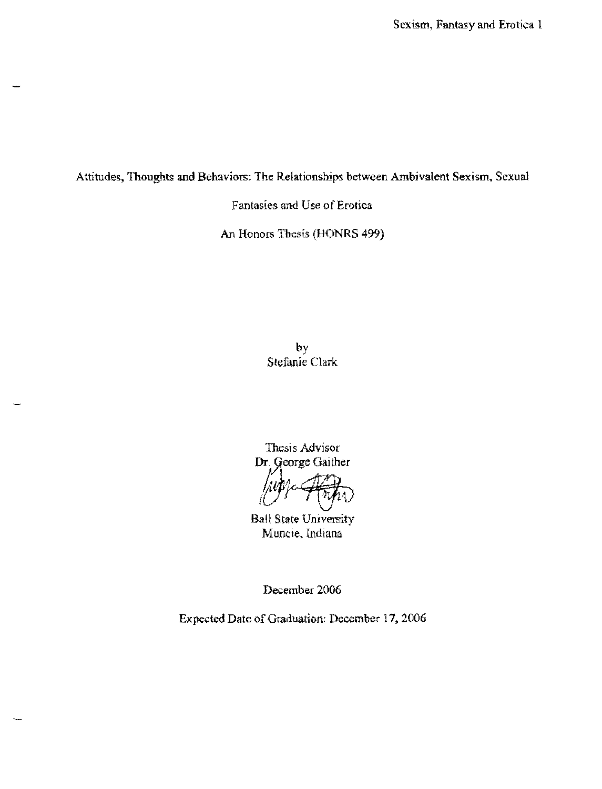Attitudes, **Thoughts and Behaviors:** The Relationships between Ambivalent Sexism, Sexual

Fantasies and Cse of Erotica

An Honors Thesis (HONRS 499)

by Stefanie Clark

Thesis Advisor Dr. George Gaither

 $\frac{1}{\sqrt{2}}$ 

Ball State University Muncie, Indiana

December 2006

Expected Date of Graduation: December 17, 2006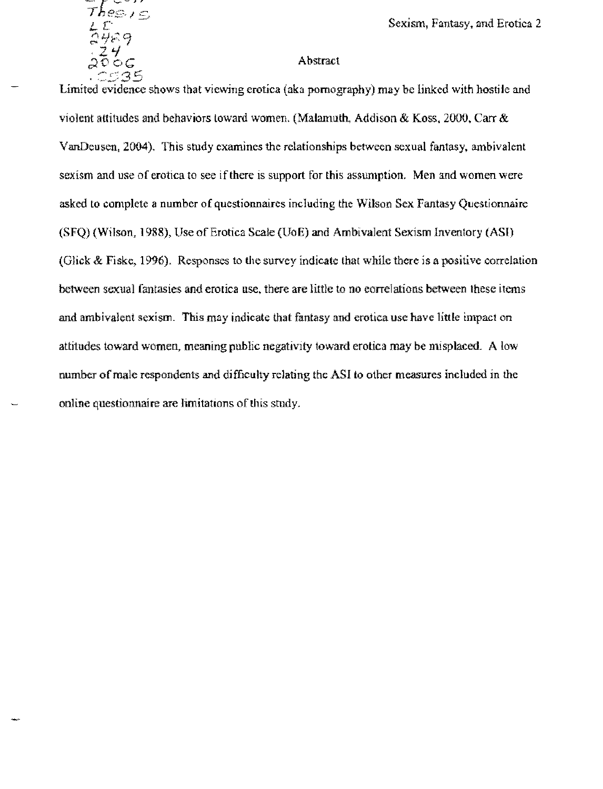| Тĥ                 |        |
|--------------------|--------|
| Ţ                  |        |
| $\hat{\mathbf{C}}$ | 砂<br>ą |
|                    | 74     |
| O                  | ŕ.     |
|                    | ς      |
|                    |        |

### Abstract

Limited evidence shows that viewing erotica (aka pornography) may be linked with hostile and violent attitudes and behaviors toward women. (Malamuth, Addison & Koss, 2000, Carr & VanDeusen, 2004). This study examines the relationships between sexual fantasy, ambivalent sexism and use of erotica to see if there is support for this assumption, Men and women were asked to complete a number of questionnaires including the Wilson Sex Fantasy Questionnaire (SFQ) (Wilson, 1988), Use of Erotica Scale (UoE) and Ambivalent Sexism Inventory (ASI) (Glick & Fiske, 1996). Responses to the survey indicate that while there is a positive correlation between sexual fantasies and erofica use, there are little to no correlations between these items and ambivalent sexism. This may indicate that fantasy and erotica use have little impact on attitudes toward women. meaning public negativity toward erotica may be misplaced. A low number of male respondents and difficulty relating the ASI to other measures included in the online questionnaire are limitations of this study.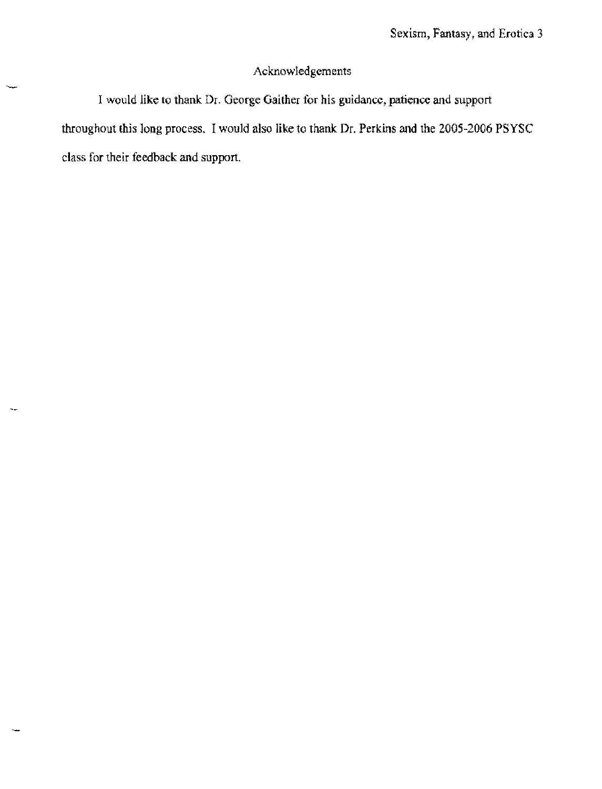# **Acknowledgements**

**I would like to thank Dr. George Gaither for his guidance, patience and support**  throughout this long process. I would also like to thank Dr. Perkins and the 2005-2006 PSYSC **class for their feedback and support,**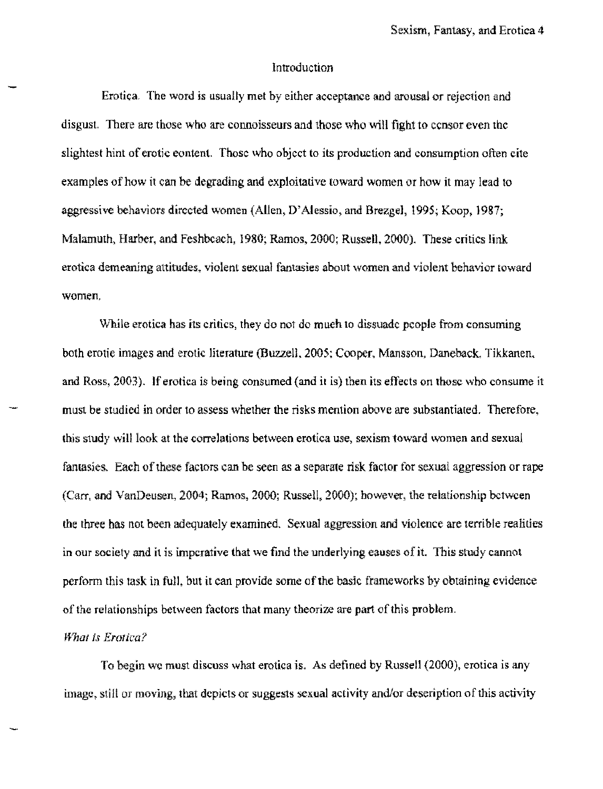### Introduction

Erotica. The word is usually met hy either acceptance and arousal or rejection and disgust. There are those who are connoisseurs and those who will fight to censor even the slightest hint of erotic eontent. Those who object to its production and consumption often cite examples of how it can be degrading and exploitative toward women or how it may lead to aggressive behaviors directed women (Allen, D' Alessio, and BrezgeJ, 1995; Koop, J 987; Malamuth, Harber, and Feshbeach, 1980; Ramos, 2000; Russell, 2000), These critics link erotica demeaning attitudes. violent sexual fantasies about women and violent behavior toward women,

While erotica has its critics, they do not do mueh 10 dissuade people from consuming both erotie images and erotic literature (Buzzell. 2005; Cooper, Mansson, Daneback, Tikkanen. and Ross, 2003). If erotica is being consumed (and it is) then its effects on those who consume it must be studied in order to assess whether the risks mention above are substantiated. Therefore, this study will look at the correlations between erotica use, sexism toward women and sexual fantasies. Each of these factors can be seen as a separate risk factor for sexual aggression or rape (Carr. and VanDeusen. 2004; Ramos. 2000; Russell. 2000): however, the relationship between the three has not been adequately examined. Sexual aggression and violence are terrible realities in our society and it is imperative that we find the underlying causes of It. This study cannot perform this task in full, but it can provide some of the basic frameworks by obtaining evidence of the relationships between factors that many theorize are part of this problem.

### *What is Erotica?*

To begin we must discuss what erotica is. As defined by Russell (2000), erotica is any image, still or moving, that depicts or suggests sexual activity and/or deseription of this activity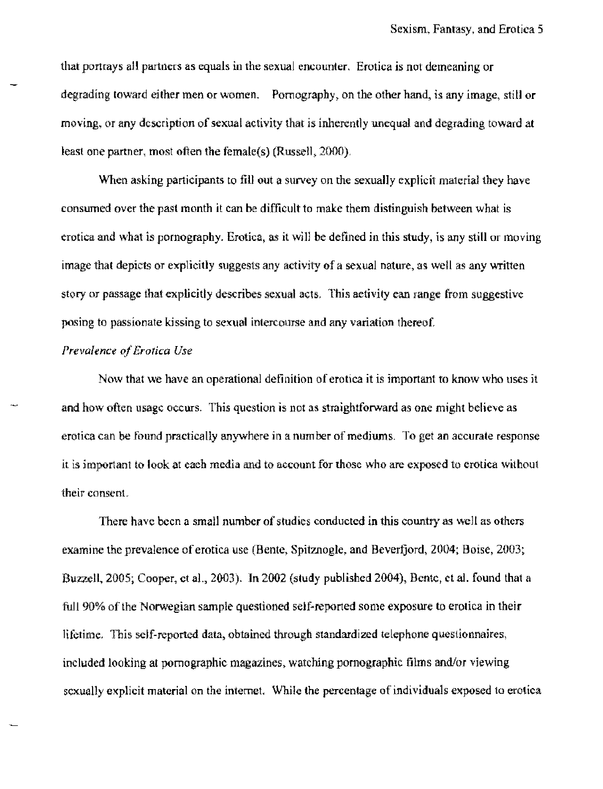that portrays aU partners as equals in the sexual encounter, Erotica is not demeaning or degrading toward either men or women. Pornography, on the other hand, is any image, still or moving. or any description of sexual activity that is inherently unequal and degrading toward at least one partner, most often the female(s) (Russell,  $2000$ ).

When asking participants to fill out a survey on the sexually explicit material they have consumed over the past month it can be difficult to make them distinguish between what is erotica and what is pornography. Erotica, as it will be defined in this study, is any still or moving image that depicts or explicitly suggests any activity of a sexual nature, as well as any written story or passage that explicitly describes sexua1 acts, This aetivity can range from suggestive posing to passionate kissing to sexual intercourse and any variation thereof,

## *Prevalence of Erotica Use*

Now that we have an operational definition of erotica it is important to know who uses it and how often usage occurs. This question is not as straightforward as one might believe as erotica can be found practically anywhere in a number of mediums. To get an accurate response it is important to look at each media and to account for those who are exposed to erotica without their consent.

There have been a small number of studies conducted in this country as well as others examine the prevalence of erotica use (Bente, Spitznogle, and Beverfjord, 2004; Boise, 2003; Buzzell, 2005; Cooper, et al., 2003). In 2002 (study published 2004), Bentc, et al. found that a full 90% of the Norwegian sample questioned sejf~reported some exposure to erotica in their lifetime. This self-reported data, obtained through standardized telephone questionnaires, included looking at pornographic magazines, watching pornographic films and/or viewing sexually explicit material on the internet. While the percentage of individuals exposed to erotica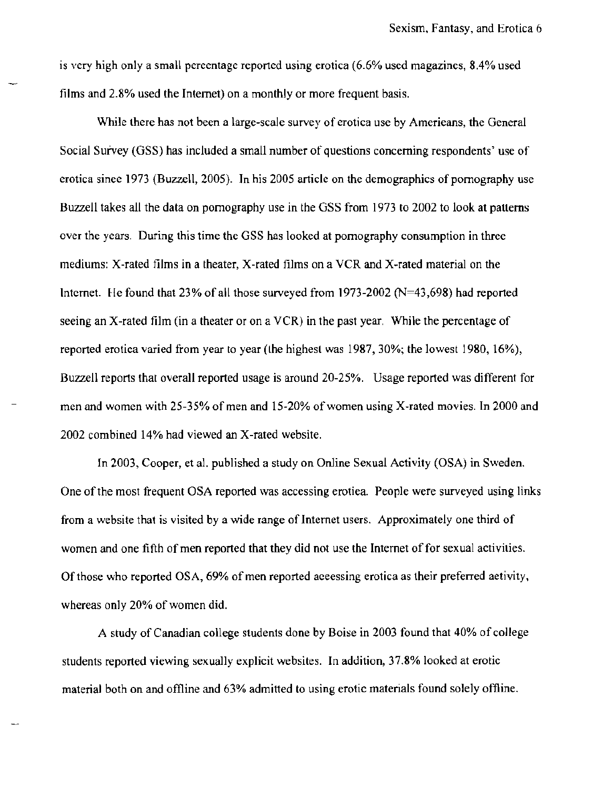is very high only a small pereentage reported using erotica (6.6% used magazines, 8.4% used films and 2.8% used the Intemet) on a monthly or more frequent basis.

While there has not been a large-scale survey of erotica use by Amerieans, the General Social Survey (OSS) has included a small number of questions concerning respondents' use of erotica sinee 1973 (Buzzell, 2005). In his 2005 article on the demographics of pornography use Buzzell takes all the data on pornography use in the OSS from 1973 to 2002 to look at patterns over the years. During this time the GSS has looked at pornography consumption in three mediums: X-rated films in a theater, X-rated films on a VCR and X-rated material on the Internet. He found that 23% of all those surveyed from 1973-2002 ( $N=43,698$ ) had reported seeing an X-rated film (in a theater or on a VCR) in the past year. While the percentage of reported erotica varied from year to year (the highest was 1987,30%; the lowest 1980, 16%), Buzzell reports that overall reported usage is around 20-25%. Usage reported was different for men and women with 25-35% of men and 15-20% of women using X-rated movies. In 2000 and 2002 combined 14% had viewed an X-rated website.

In 2003, Cooper, et a1. published a study on Online Sexual Activity (OSA) in Sweden. One of the most frequent OSA reported was accessing erotiea. People were surveyed using links from a website that is visited by a wide range of Internet users. Approximately one third of women and one fifth of men reported that they did not use the Internet of for sexual activities. Of those who reported OS A, 69% of men reported aceessing erotica as their preferred aetivity, whereas only 20% of women did.

A study of Canadian college students done by Boise in 2003 found that 40% of college students reported viewing sexually explicit websites. In addition, 37.8% looked at erotic material both on and offline and 63% admitted to using erotic materials found solely offline.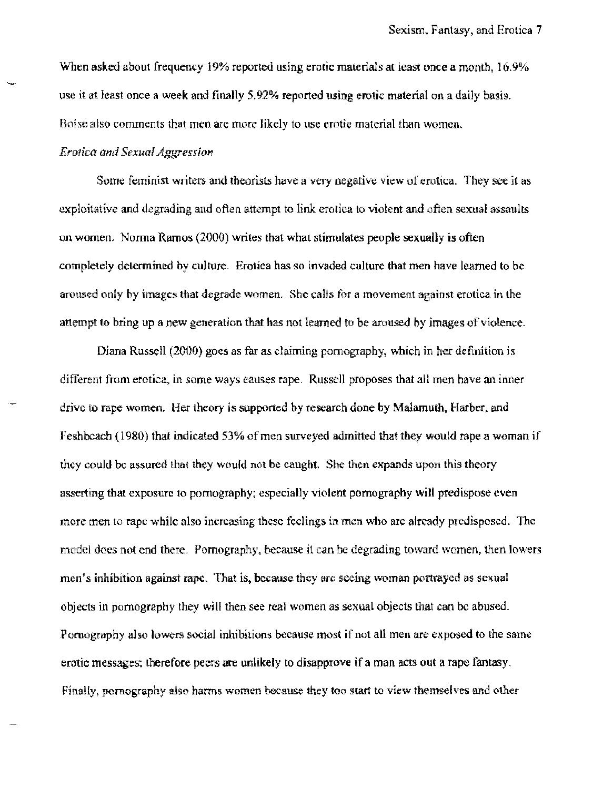When asked about frequency 19% reported using erotic materials at least once a month, 16.9% use it at least once a week and finally 5,92% reported using erotic material on a daily basis. Boise also comments that men are more likely to use erotie material than women,

### *Er01ica and Sexual Aggression*

Some feminist writers and theorists have a very negative view of erotica. They see it as exploitative and degrading and often attempt to link erotica to violent and often sexual assaults on women, Norma Ramos (2000) writes that what stimulates people sexually is often completely determined by culture. Erotica has so invaded culture that men have learned to be aroused only by images that degrade women. She calls for a movement against erotica in the attempt to bring up a new generation that has not learned to be aroused by images of violence.

Diana Russell (2000) goes as far as claiming pornography, which in her definition is different from erotica, in some ways eauses rape. Russell proposes that all men have an inner drive to rape women. Her theory is supported by research done by Malamuth. Harber. and Feshbcach (1980) that indicated 53% of men surveyed admitted that they would rape a woman if they could be assured that they would not be caught. She then expands upon this theory asserting that exposure to pornography; especially violent pomography will predispose even more men to rape while also increasing these feelings in men who are already predisposed. The model does not end there, Pornography, because it can be degrading toward women, then lowers men's inhibition against rape. That is. because they are seeing woman portrayed as sexual objects in pomography they will then see real women as sexual objects that can be abused. Pornography also lowers social inhibitions because most if not all men are exposed to (he same erotic messages; therefore peers are unlikeJy to disapprove if a man acts out a rape fantasy, Finally, pornography also harms women because they too start to view themselves and other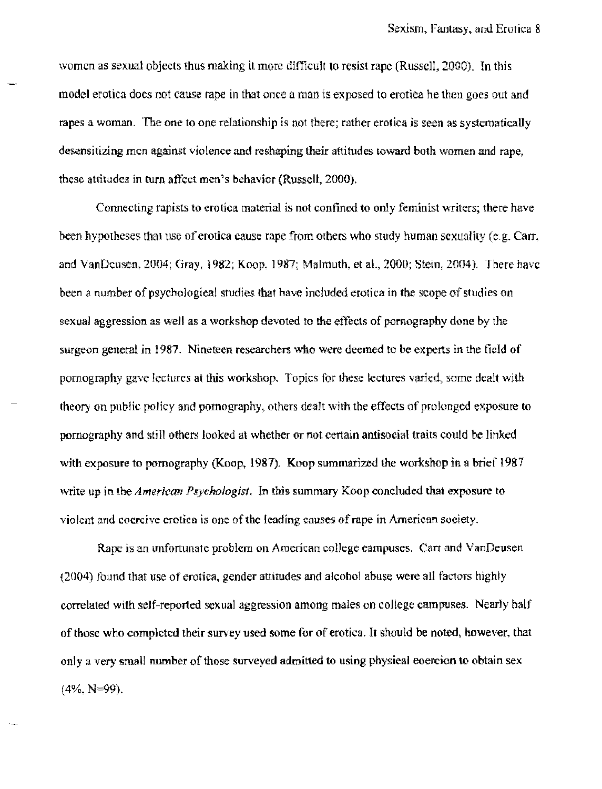women as sexual objects thus making it more difficult to resist rape (Russell, 2000). In this model erotica does not cause rape in that once a man is exposed to erotica he then goes out and rapes a woman, The one to one relationship is not there; rather erotica is seen as systematically desensitizing men against violence and reshaping their attitudes toward both women and rape, these attitudes in turn affect men's behavior (Russell, 2000),

Connecting rapists to erotica material is not confined 10 only feminist writers; there have been hypotheses thai use of erotica cause rape from others who study human sexuality (e.g. Carr. and VanDeusen, 2004; Gray, 1982; Koop, 1987; Malmuth, et aI., 2000; Stein, 2004). There have been a number of psychoJogieal studies that have included erotica in the scope of studies on sexual aggression as well as a workshop devoted to the effects of pornography done by the surgeon general in 1987. Nineteen researchers who were deemed to be experts in the field of pornography gave lectures at this workshop. Topics for these lectures varied, some dealt with theory on public policy and pornography, others dealt with the effects of prolonged exposure to pornography and still others looked at whether or not certain antisocial traits could be linked with exposure to pornography (Koop, 1987). Koop summarized the workshop in a brief  $1987$ write up in the *American Psychologist.* In this summary Koop concluded that exposure to violent and coercjve erotica is one oftbe leading causes ofrape in American society.

Rape is an unfortunate problem on American college eampuses. Carr and VanDeusen (2004) found that use of erotica, gender attitudes and alcohol abuse were all factors highly correlated with self-reported sexual aggression among males on college campuses. Nearly half of those who completed their survey used some for of erotica. It should be noted, however, that only a very small number of those surveyed admitted to using physical coercion to obtain sex (4%. N~99).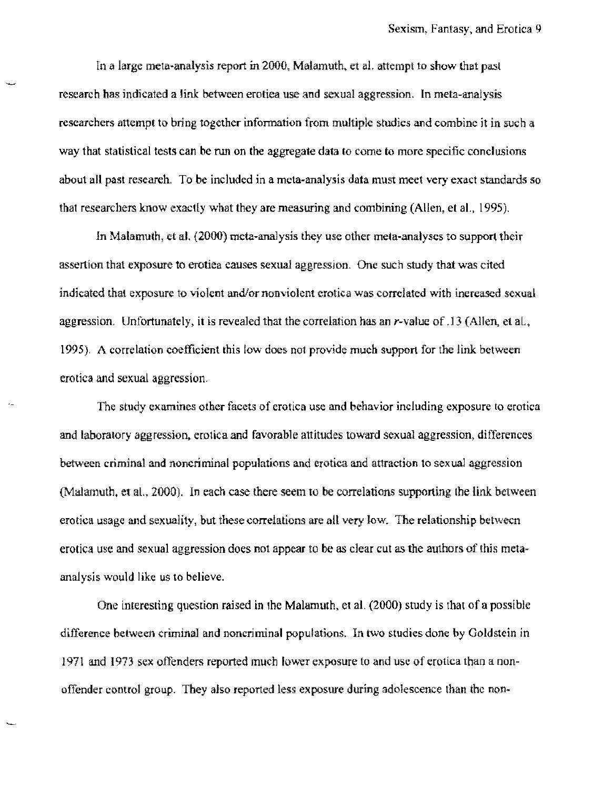In a large meta-analysis report in 2000, Malamuth, et al. attempt to show that past research has indicated a link between erotica use and sexual aggression. In meta-analysis researchers attempt to bring together information from multiple studies and combine it in such a way that statistical tests can be run on the aggregate data (0 come to more specific conclusions about all past research. To be included in a meta-analysis data must meet very exact standards so that researchers know exactly what they are measuring and combining (Allen, et al., 1995).

.In Malamuth, et ai, (2000) meta-analysis they use other meta-analyses to support their assertion that exposure to erotiea causes sexual aggression. One such study that was cited indicated that exposure to violent and/or nonviolent erotica was correlated with inereased sexual aggression. Unfortunately, it is revealed that the correlation has an r-value of  $.13$  (Allen, et al., 1995). A correlation coefficient this low does not provide much support for the link between erotica and sexual aggression.

The study examines other facets of erotica use and behavior including exposure to erotica and laboratory aggression. erotica and favorable attitudes toward sexual aggression, differences between criminal and noncriminal populations and erotica and attraction to sexual aggression (Malamuth, et al., 2000). In each case there seem to be correlations supporting the link between erotica usage and sexuality, but these correlations are all very low. The relationship between erotica use and sexual aggression does not appear to be as clear cut as the authors of this metaanalysis would like us to believe,

One interesting question raised in the Malamuth, et al. (2000) study is that of a possible difference between criminal and noncriminal populations. In two studies done by Goldstein in 1971 and 1973 sex offenders reported much lower exposure to and use of erotica than a nonoffender control group. They also reported less exposure during adolescence than the non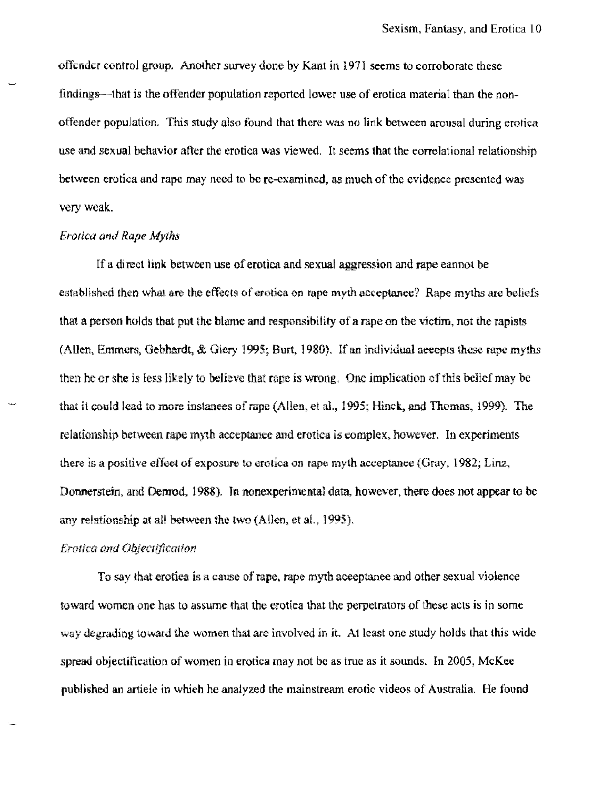offender control group. Another survey done by Kant in 1971 seems to corroborate these findings—that is the offender population reported lower use of erotica material than the nonoffender population. This study also found that there was no link between arousal during erotica use and sexual behavior after the erotica was viewed. It seems that the correlational relationship between erotica and rape may need to be re-examined. as mueh of the evidence presented was very weak.

## *Erotica and Rape Myths*

If a direct link between use of erotica and sexual aggression and rape cannot be established then what are the effects of erotica on rape myth acceptance? Rape myths are beliefs that a person holds that put the blame and responsibility of a rape on the victim, not the rapists (Allen, Emmers, Gebhardt, & Giery 1995; Burt, 1980). If an individual aecepts these rape myths then he or she is less likely to believe that rape is wrong. One implication of this belief may be that it could lead 10 more instanees of rape (Allen, et at, 1995; Hinck. and Thomas, 1999). The relationship between rape myth acceptanee and erotica is complex, however. In experiments there is a positive effect of exposure to erotica on rape myth acceptance (Gray, 1982; Linz, Donncrstcin, and Denrod, 1988), In noncxperimental data. however, there does not appear to be any relationship at all between the two (Allen, et aI., 1995).

### *Erotica and Objeclificalion*

To say that erotica is a cause ofrape. rape myth aceeptanee and other sexual violence toward women one has to assume that the erotiea that the perpetrators of these acts is in some way degrading toward the women that are involved in it. At least one study holds that this wide spread objectifieation of women in erotica may not be as true as it sounds. In 2005, McKee published an article in which he analyzed the mainstream erotic videos of Australia. He found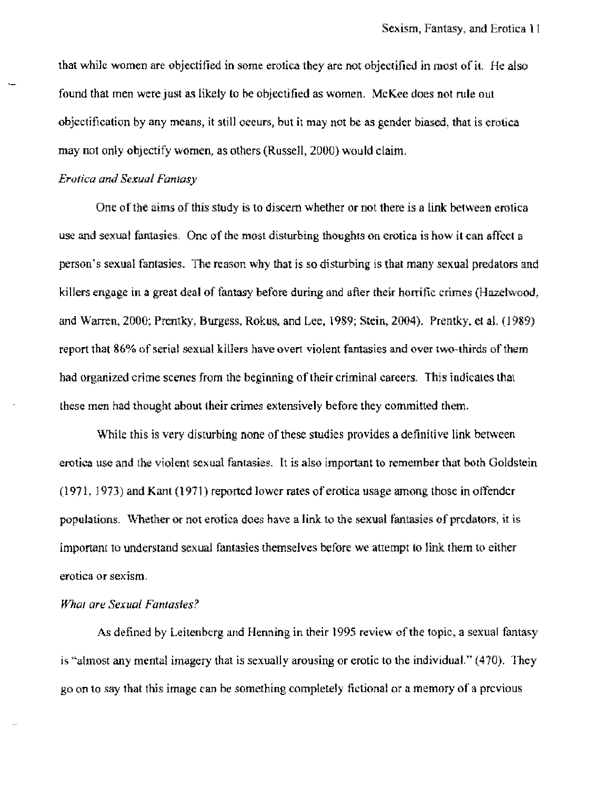that while women are objectified in some erotica they are not objectified in most of it. He also found that men were just as likely to be objectified as women. McKee does not rule out objectification by any means, it still oeeurs, but it may not be as gender biased, that is erotica may not only objectify women, as others (Russell, 2000) would claim.

### *Erotica and Sexual Fantasy*

One of the aims of this study is to discem whether or not there is a link between erotica use and sexual fantasies. One of the most disturbing thoughts on erotica is how it can affect a person's sexual fantasies. The reason why that is so disturbing is that many sexual predators and killers engage in a great deal of fantasy before during and after their horrific crimes (Hazelwood, and Warren, 2000; Prentky, Burgess, Rokus, and Lee, 1989; Stein, 2004). Prentky, et al. (1989). report that 86% of serial sexual killers have overt violent fantasies and over two-thirds of them had organized crime scenes from the beginning of their criminal careers. This indicates that these men had thought about their crimes extensively before they committed them,

While this is very disturbing none of these studies provides a definitive link between erotica use and the violent sexual fantasies. It is also important to remember that both Goldstein (l971, 1973) and Kant (1971) reported lower rates of erotica usage among those in offender populations. Whether or not erotica does have a link to the sexual fantasies of predators, it is important to understand sexual fantasies themselves before we attempt to link them tu either erotica or sexism,

## *Whal are Sexual Fantasies?*

As defined by Leitenbcrg and Henning in their 1995 review of the topic, a sexual fantasy is "almost any mental imagery that is sexually arousing or erotic to the individual."  $(470)$ . They go on to say that this image can be something completely fictional or a memory of a previous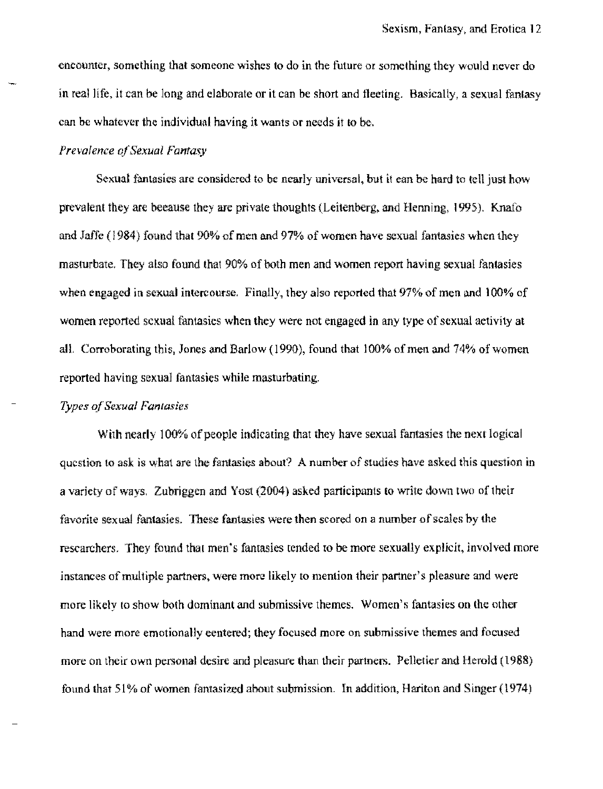encounter, something that someone wishes to do in the future or something they would never do in real life, it can be long and elaborate or it can be short and fleeting. Basically, a sexual fantasy ean be whatever the individual having it wants or needs it to be.

## *Prevalence o/Sexual Fantasy*

Sexual fantasies are considered to be nearly universal, but it ean be hard to tell just how prevalent they are beeause they are private thoughts (Leitenberg, and Henning, 1995). Knafo and Jaffe (1984) found that 90% of men and 97% of women have sexual fantasies when they masturbate, They also found that 90% of both men and women report having sexual fantasies when engaged in sexual intercourse. Finally, they also reported that 97% of men and 100% of women reported sexual fantasies when they were not engaged in any type of sexual aetivity at aiL Corroborating this, Jones and Barlow (1990), found that 100% of men and 74% of women reported having sexual fantasies while masturbating.

### *Types qfSexual Fantasies*

With nearly 100% of people indicating that they have sexual fantasies the next logical question to ask is what are the fantasies about? A number of studies have asked this question in a variety of ways, Zubriggen and Yost (2004) asked participants: to write down two of their favorite sexual fantasies. These fantasies were then scored on a number of scales by the researchers. They found that men's fantasies tended to be more sexually explicit, involved more instances of multiple partners, were more likely to mention their partner's pleasure and were more likely to show both dominant and submissive themes. Women's fantasies on the other hand were more emotionally eentered; they focused more on submissive themes and focused more on their own personal desire and pleasure than their partners. Pelletier and Herold (1988) found that 51% of women fantasized about submission. In addition, Hariton and Singer (1974)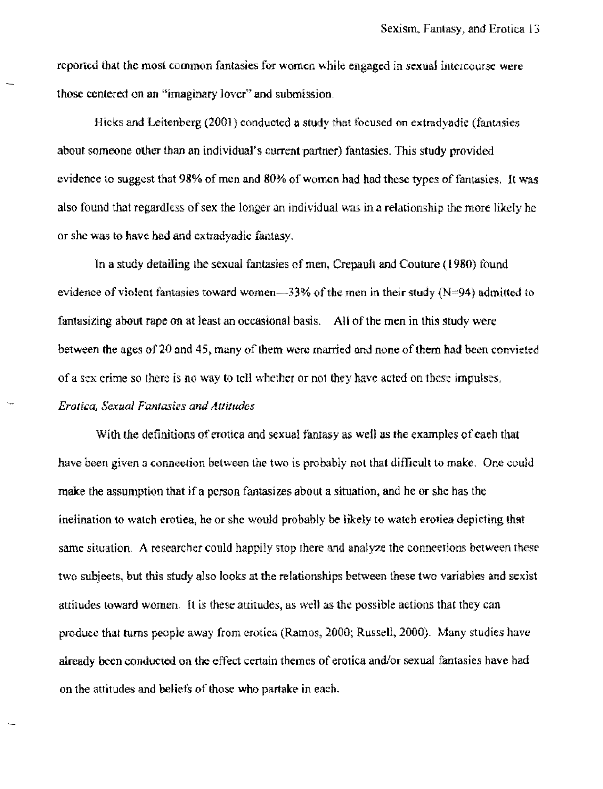reported that the most common fantasies for women white engaged in sexual intercourse were those centered on an "imaginary lover" and submission,

Hicks and Leitenberg (2001) conducted a study that focused on extradyadie (fantasies about someone other than an individual's current partner) fantasies. This study provided evidence to suggest that 98% of men and 80% of women had had these types of fantasies. It was also found that regardless of sex the longer an individual was in a relationship the more like1y he or she was to have had and extradyadie fantasy.

In a study detailing the sexual fantasies of men, Crepault and Couture  $(1980)$  found evidence of violent fantasies toward women-33% of the men in their study (N=94) admitted to fantasizing about rape on at least an occasional basis. All of the men in this study were between the ages of 20 and 45, many of them were married and none of them had been convieted of a sex crime so there is no way to tell whether or not they have acted on these impulses. *Erotica, Sexual Fantasies and Altitudes* 

With the definitions of erotica and sexual fantasy as well as the examples of eaeh that have been given a connection between the two is probably not that difficult to make. One could make the assumption that if a person fantasizes about a situation, and he or she has the inclination to watch erotica, he or she would probably be likely to watch erotica depicting that same situation. A researcher could happily stop there and analyze the connections between these two subjects. but this study also Jooks at the relationships between these two variables and sexist attitudes toward women. It is these attitudes, as well as the possible aetions that they can produce that turns people away from erotica (Ramos, 2000; Russell, 2000). Many studies have already been conducted on the effect certain themes of erotica and/or sexual fantasies have had on the attitudes and beliefs of those who partake in each.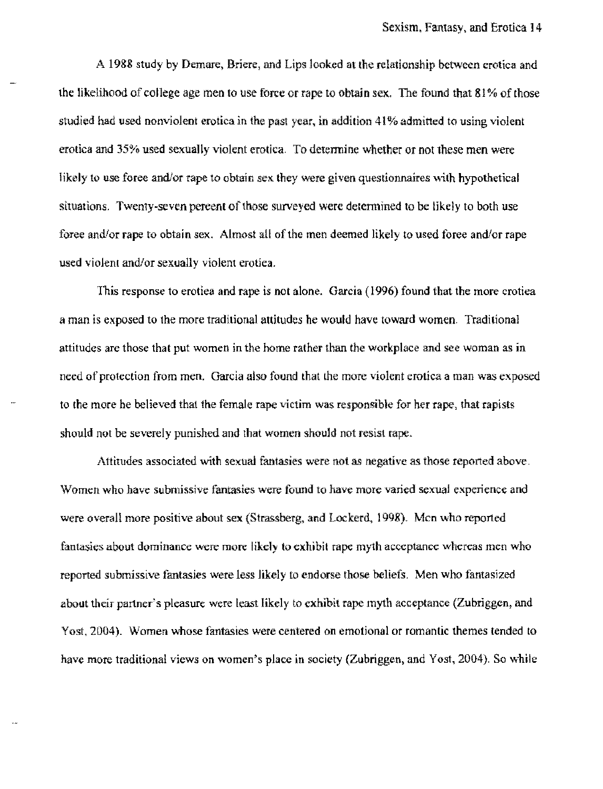A 1988 study by Demare, Briere, and Lips looked at the relationship between erotica and the likelihood of college age men to use force or rape to obtain sex. The found that 81% of those studied had used nonviolent erotica in the past year, in addition 41% admitted to using violent erotica and 35% used sexually violent erotica. To determine whether or not these men were likely to use foree and/or rape to obtain sex they were given questionnaires with hypothetical situations. Twenty-seven pereent of those surveyed were detennined to be likely to both use force and/or rape to obtain sex. Almost all of the men deemed likely to used force and/or rape used violent and/or sexually violent erotica.

This response to erotica and rape is not alone. Garcia (1996) found that the more erotica a man is exposed to the more traditional attitudes he would have toward women. Traditional attitudes are those that put women in the home rather than the workplace and see woman as in need of protection from men. Garcia also foond that the more violent erotica a man was exposed to the more he believed that the female rape victim was responsible for her rape, that rapists should not be severely punished and that women should not resist rape.

Attitudes associated with sexuai fantasies were not as negative as those reported above. Women who have submissive fantasies were found to have more varied sexual experience and were overall more positive about sex (Strassberg. and Lockerd. 1998). Men who reported fantasies about dominance were more likely to exhibit rape myth acceptance whereas men who reported submissive fantasies were less Hkely to endorse those beliefs. Men who fantasized aboot their partner's pleasure were least likely to exhibit rape myth acceptance (Zubriggen, and Yost, 2004). Women whose fantasies were centered on emotional or romantic themes tended to have more traditional views on women's place in society (Zubriggen, and Yost, 2004). So while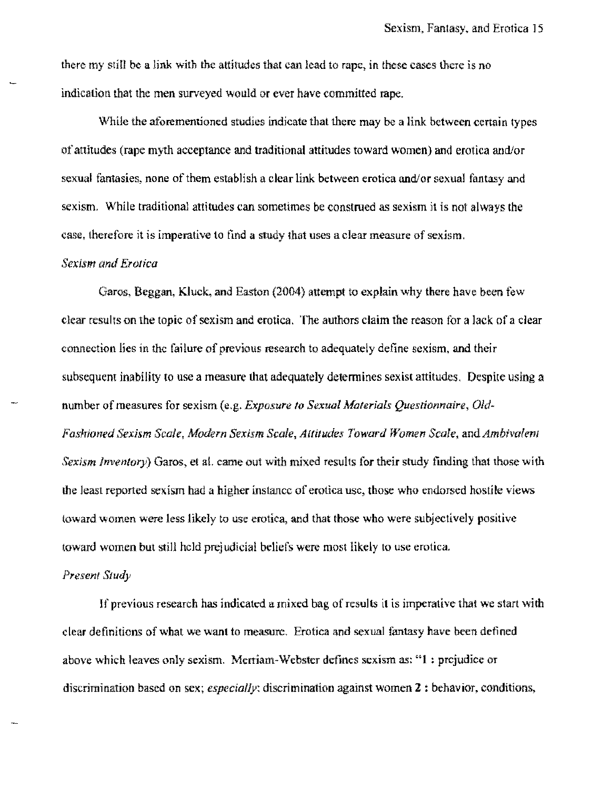there my still be a link with the attitudes that can lead to rape, in these cases there is no indication that the men surveyed would or ever have committed rape.

While the aforementioned studies indicate that there may be a link between certain types of attitudes (rape mylh acccptance and traditional attitudes toward women) and erotica and/or sexual fantasies, none of them establish a clear link between erotica and/or sexual fantasy and sexism. While traditional attitudes can sometimes be construed as sexism it is not always the case. therefore it is imperative to tind a study that uses a clear measure of sexism,

## *Sexism and Erotica*

Garos. Beggan. Kluck, and Easton (2004) attempt to explain why there have been few clear results on the topic of sexism and erotica, The authors claim the reason for a lack of a clear connection lies in thc failure of previous research to adequately define sexism, and their subsequent inability to use a measure that adequately determines sexist attitudes. Despite using a number of measures for sexism (e,g, *Exposure 10 Sexual Afalerials Questionnaire,* Oid~ *Fashioned Sexism Scale, .Modern Sexism Scale, Altitudes Toward Women Scale.* and *Ambivalenl Sexism Inventory*) Garos, et al. came out with mixed results for their study finding that those with the least reported sexism had a higher instance of erotica usc, those who endorsed hostile views toward women were less likely to usc erotica. and that those who were subjectively positive toward women but still held prejudicial beliefs were most likely to use erotica,

#### *Present Study*

If previous research has indicated a mixed bag of results it is imperative that we start with clear definitions of what we want to measure. Erotica and sexual fantasy have been defined above which leaves only sexism. Mertiam-Webster defines sexism as: "I ! prejudice or discrimination based on sex; *especially:* discrimination against women 2 ; behavior, conditions,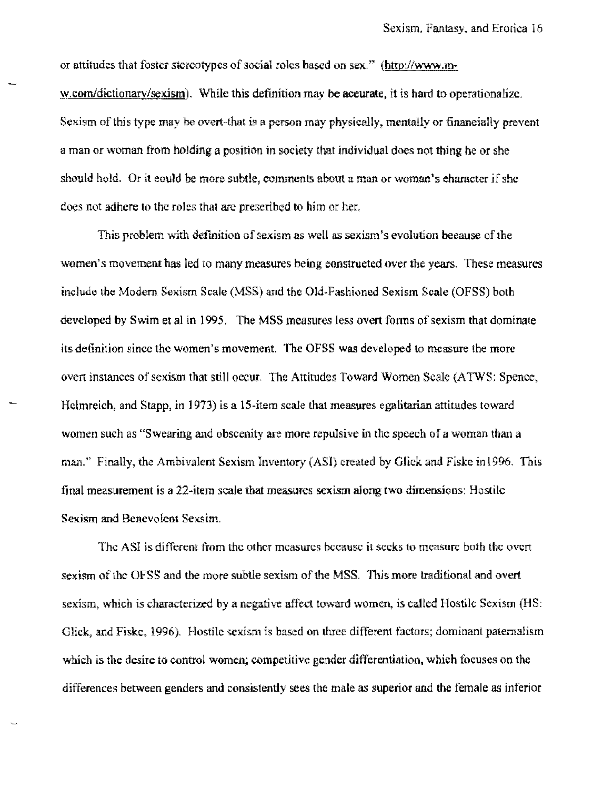or attitudes that foster stereotypes of social roles based on sex." (http://www.mw.com/dictionary/sexism). While this definition may be accurate, it is hard to operationalize. Sexism of this type may be overt-that is a person may physically, mentally or finaneially prevent a man or woman from holding a position in society that individual does not thing he or she should hold. Or it eould be more subtle, comments about a man or woman's eharacter if she does not adhere to the roles that are prescribed to him or her.

This problem with definition of sexism as well as sexism's evolution because of the women's movement has led to many measures being eonstrueted over the years. These measures include the Modern Sexism Scale (MSS) and the Old-Fashioned Sexism Scale (OFSS) both developed by Swim et al in 1995, The MSS measures less overt forms of sexism that dominate its definition since the women's movement. The OFSS was developed to mcasure the more overt instances of sexism that still occur. The Attitudes Toward Women Scale (ATWS: Spence, Hclmreich, and Stapp, in 1973) is a 15-item scale that measures egalitarian attitudes toward women such as "Swearing and obscenity are more repulsive in the speech of a woman than a man," Finally, the Ambivalent Sexism Inventory (ASI) created by Glick and Fiske in 1996, This final measurement is a 22-item scale that measures sexism along two dimensions: Hostile Sexism and Benevolent Sexsim.

The ASI is different from the other measures because it seeks to measure both the overt sexism of the OFSS and the more subtle sexism of the MSS, This more traditional and overt sexism, which is characterized by a negative affect toward women, is called Hostile Sexism (HS: Glick, and Fiskc, 1996). Hostile sexism is based on three different factors; dominant paternalism which is the desire to control women; competitive gender differentiation, which focuses on the differences between genders and consistently sees the male as superior and the female as inferior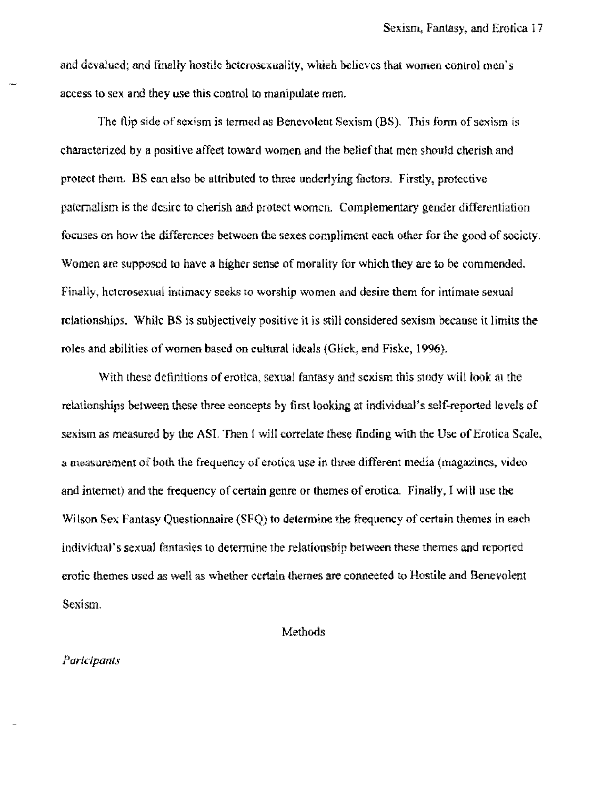and devalued; and finally hostile heterosexuality. which believes that women control men's access to sex and they use this control to manipulate men,

The flip side of sexism is termed as Benevolent Sexism (BS). This form of sexism is characterized by a positive affeet toward women and the belief that men should cherish and protect them, BS ean also be attributed to three underlying factors. Firstly, protective paternalism is the desire to cherish and protect women, Complementary gender differentiation foruses on how the differences between the sexes compliment each other for the good of society. Women are supposed to have a higher sense of morality for which they are to be commended. Finally, heterosexual intimacy seeks to worship women and desire them for intimate sexual relationships. While BS is subjectively positive it is still considered sexism because it limits the roles and abilities of women based on cultural ideals (Glick, and Fiske, 1996).

With these definitions of erotica, sexual fantasy and sexism this study will look at the relationships between these three eoncepts by first looking at individual's self-reported levels of sexism as measured by the ASI. Then I will correlate these finding with the Use of Erotica Scale, a measurement of both the frequency of erotica use in three different media (magazines, video and intemet) and the frequency of certain genre or themes of erotica. Finally, I will use the Wilson Sex Fantasy Questionnaire (SFQ) to determine the frequency of certain themes in each individual's sexual fantasies to determine the relationship between these themes and reported erotic themes used as well as whether certain themes are conneeted to Hostile and Benevolent Sexism.

## Methods

#### Paricipants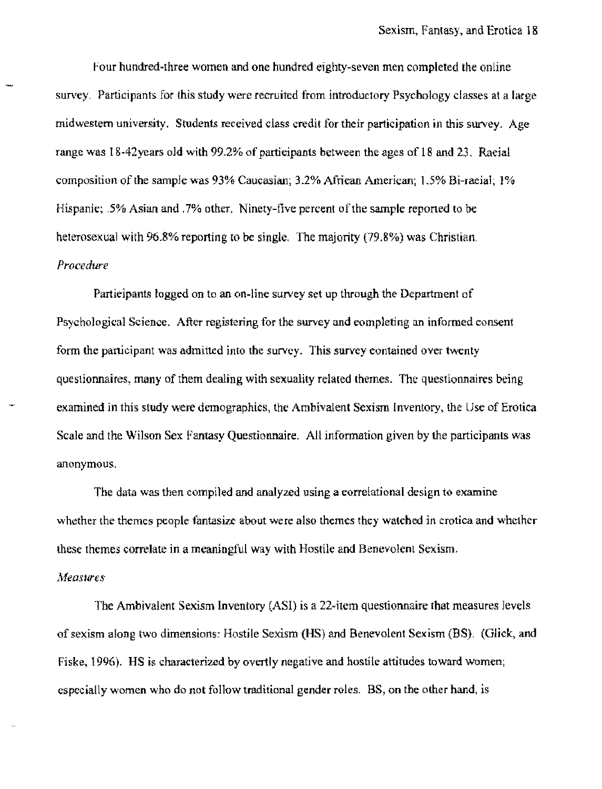Four hundred-three women and one hundred eighty-seven men completed the online survey. Participants for this study were recruited from introductory Psychology classes at a large midwestern university, Students received class credit for their participation in this survey. Age range was 18-42years old with 99.2% of participants between the ages of 18 and 23, Raeial composition of the sample was 93% Caucasian; 3.2% Afriean American; 1.5% Bi-raeial; J% Hispanic; .5% Asian and .7% other, Ninety-five percent of the sample reponed to be heterosexual with 96.8% reporting to be single. The majority (79.8%) was Christian. *Procedure* 

Partieipants logged on to an on-line survey set up through the Department of Psychological Science. After registering for the survey and rompleting an informed consent form the panicipant was admitted into the survey. This survey contained over twenty questionnaires; many of them dealing with sexuality related themes. The questionnaires being examined in this study were demographics, the Ambivalent Sexism Inventory, the Use of Erotica Scale and the Wilson Sex Fantasy Questionnaire. All information given by the participants was anonymous.

The data was then compiled and analyzed using a correlational design to examine whether the themes people fantasize about were also themes they watehed in crotica and whether these themes correlate in a meaningful way with Hostile and Benevolent Sexism.

#### **Measures**

The Ambivalent Sexism Inventory (AS!) is a 22~item questionnaire that measures levels of sexism along two dimensions: Hostile Sexism (HS) and Benevolent Sexism (BS). (Glick, and Fiske. 1996). HS is characterized by overtly negative and hostile attitudes toward women; especially women who do not follow traditional gender roles. BS, on the other hand, is: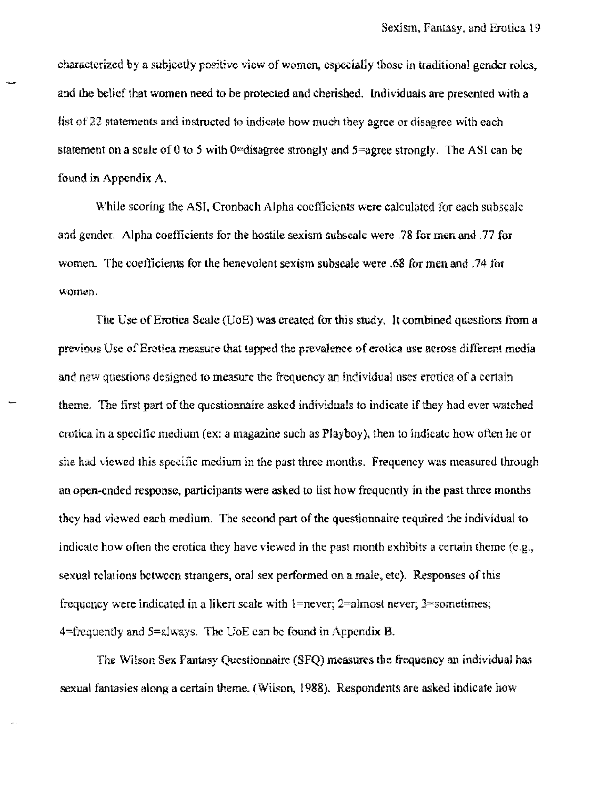characterized by a subjectly positive view of women, especialJy those in traditional gender roles, and the belief that women need to be protected and cherished. Individuals are presented with a list of 22 statements and instructed to indicate how much they agree or disagree with each statement on a scale of 0 to 5 with 0=disagree strongly and  $5=$ agree strongly. The ASI can be found in Appendix A.

While scoring the ASJ, Cronbach Alpha coefficients were calculated for each subscale and gender. Alpha coefficients for the hostile sexism subscale were .78 for men and .77 for women. The coefficients for the benevolent sexism subscale were .68 for men and .74 for women.

The Use of Erotica Scale (UoE) was created for this study, It combined questions from a previous Use of Erotica measure that tapped the prevalence of erotica use across different media and new questions designed to measure the frequency an individual uses erotica of a certain theme. The first part of the questionnaire askcd individuals to indicate if they had ever watehed erotica in a specific medium (ex: a magazine such as Playboy)} then to indicate how often he or she had viewed this specific medium in the past three months. Frequency was measured through an open~cnded response, participants were asked to list how frequently in the past three months thcy had viewed each medium. The second part of the questionnaire required the individual to indicate how often the erotica they have viewed in the past month exhibits a certain theme  $(e.g.,)$ sexual relations betwecn strangers, oral sex performed on a male. etc). Responses of this frequency were indicated in a likert scale with  $l$ =never;  $2$ =almost never;  $3$ =sometimes; 4=frequently and 5=always. The UoE can be found in Appendix B.

The Wilson Sex Fantasy Questionnaire (SFQ) measures the frequency an individual has sexual fantasies along a certain theme. (Wilson, 1988). Respondents are asked indicate how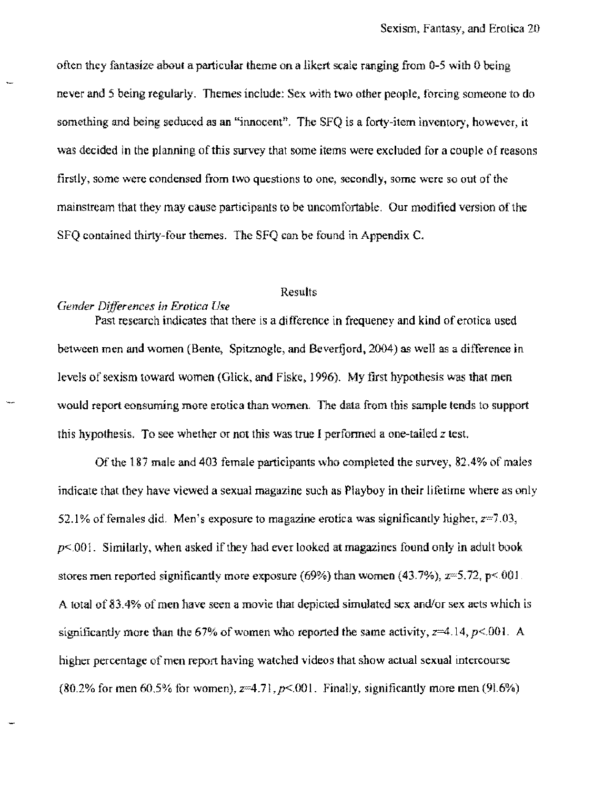often they fantasize about a particular theme on a likert scale ranging from 0-5 with 0 being never and 5 being regularly. Themes include: Sex with two other people, forcing someone to do something and being seduced as an "innocent". The SFQ is a forty-item inventory, however, it was decided in the planning of this survey that some items were excluded for a couple ofreasons firstly, some were condensed from two questions to one, secondly, some were so out of the mainstream that they may cause participants (0 be uncomtortable, Our modified version of the SFQ contained thirty-four themes. The SFQ can be found in Appendix C.

## Results

### *Gender Differences in Erotica Use*

Past research indicates that there is a difference in frequeney and kind of erotica used between men and women (Bente, Spitznogle, and Beverfjord, 2004) as well as a difference in levels of sexism toward women (Glick, and Fiske, 1996). My first hypothesis was that men would report eonsuming more erotica than women, The data from this sample tends to support this hypothesis. To see whether or not this was true I performed a one-tailed  $z$  test.

Of the lSi male and 403 female participants who compieted the survey, *82A%* of males indicate that they have viewed a sexual magazine such as Playboy in their lifetime where as only 52.1% of females did. Men's exposure to magazine erotica was significantly higher,  $z=7.03$ , *p<.OOl.* Similarly, when asked if they had ever looked at magazines found only in adult book stores men reported significantly more exposure (69%) than women (43.7%),  $z=5.72$ , p< 001. A total of 83.4% of men have seen a movie that depicted simulated sex and/or sex aets which is significantly more than the 67% of women who reported the same activity,  $z=4.14$ ,  $p<.001$ . A higher percentage of men report having watched videos that show actual sexual intercourse (80.2% for men  $60.5\%$  for women),  $z=4.71$ ,  $p<.001$ . Finally, significantly more men (91.6%)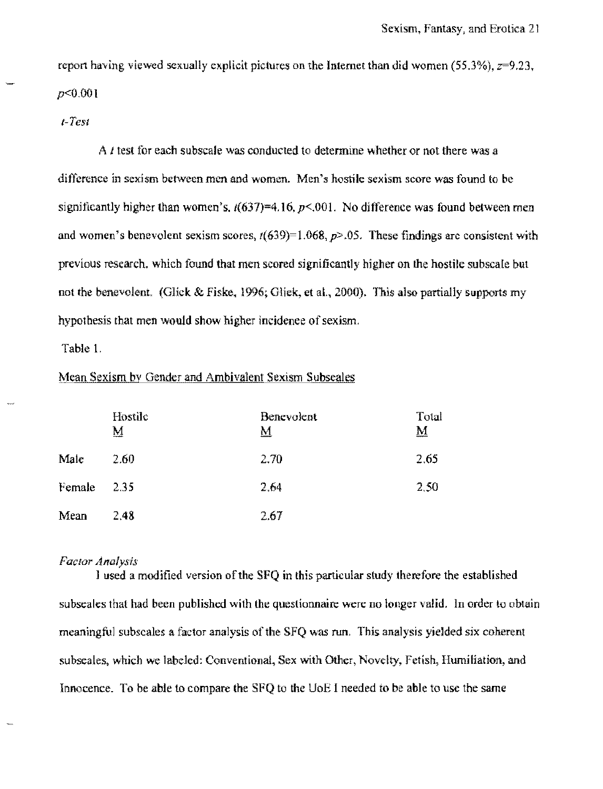report having viewed sexually explicit pictures on the Internet than did women (55.3%),  $z=9.23$ , *p<O.OOI* 

*(-Test* 

A *t* test for each subscale was conducted to determine whether or not there was a difference in sexism between men and women. Men's hostile sexism score was found to be significantly higher than women's,  $t(637)=4.16$ ,  $p<.001$ . No difference was found between men and women's benevolent sexism scores, *r(639)=l.068,p>.05,* These findings arc consistent with previous research. which found that men scored significantly higher on the hostile subscate but not the benevolent. (Glick & Fiske, 1996; Glick, et al., 2000). This also partially supports my hypothesis that men would show higher incidence of sexism.

Table I.

### Mean Sexism by Gender and Ambivalent Sexism Subseales

|        | Hostile<br><u>М</u> | <b>Benevolent</b><br><u>м</u> | Total<br>$\overline{\bf M}$ |
|--------|---------------------|-------------------------------|-----------------------------|
| Male   | 2.60                | 2.70                          | 2.65                        |
| Female | 2.35                | 2.64                          | 2.50                        |
| Mean   | 2.48                | 2.67                          |                             |

### *Factor Analysis*

] used a modified version of the SPQ in this particular study therefore the established subseales that had been published with the questionnaire were no longer valid. In order to obtain meaningful subscales a factor analysis of the SFQ was run. This analysis yielded six coherent subseales, which we labeled: Conventional, Sex with Other, Novelty, Fetish, Humiliation, and Innocence. To be able to compare the SPQ to the UoE I needed to be able to usc the same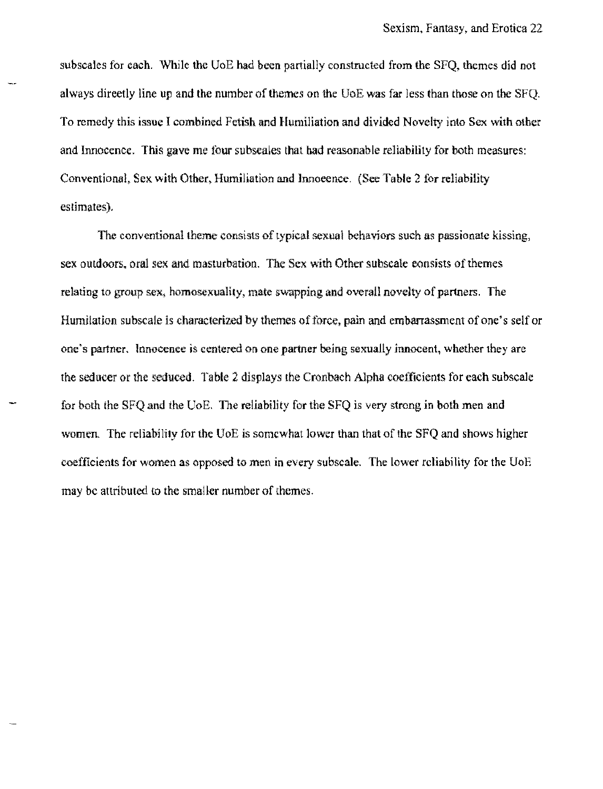subscales for each. While the VoE had been partially constructed from the SFQ, themes did not always direetly line up and the number of themes on the UoE was far less than those on the SFQ. To remedy this issue I combined Fetish and Humiliation and divided Novelty into Sex with other and Innocence. This gave me four subseales that had reasonable reliability for both measures: Conventional, Sex with Other, Humiliation and lnnoeence. (See Table 2 fer reliability estimates),

The conventional theme consists of typical sexual behavlors such as passionate kissing, sex outdoors. oral sex and masturbation. The Sex with Other subseale oonsists of themes relating to group sex, homosexuality, mate swapping and overall novelty of partners. The Humilation subscale is characterized by themes of force, pain and embarrassment of one's self or one's partner. Innocence is centered 00 one partner beiog sexually innocent, whether they are the seducer or the seduced. Table 2 displays the Cronbach Alpha coefficients for each subscale for both the SFQ and the CoE. The reliability for the SFQ is very strong in both men and women, The reliabillly for the UoE is somewhat lower than that of the SFQ and shows higher coefficients for women as opposed to men in every subscale. The lower reliability for the UoE may be attributed to the smaller number of themes.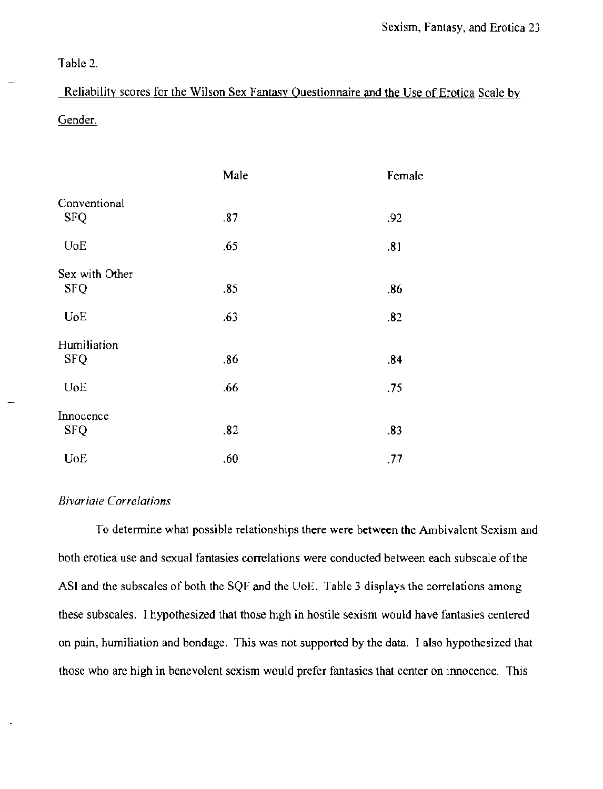Table 2.

Reliability scores for the Wilson Sex Fantasy Questionnaire and the Use of Erotica Scale by Gender.

|                | Male | Female |
|----------------|------|--------|
| Conventional   |      |        |
| <b>SFQ</b>     | .87  | .92    |
| UoE            | .65  | .81    |
| Sex with Other |      |        |
| <b>SFQ</b>     | .85  | .86    |
| <b>UoE</b>     | .63  | .82    |
| Humiliation    |      |        |
| <b>SFQ</b>     | .86  | .84    |
| UoE            | .66  | .75    |
| Innocence      |      |        |
| <b>SFQ</b>     | .82  | .83    |
| <b>UoE</b>     | .60  | .77    |

# *Bivariate Correlations*

To determine what possible relationships there were between the Ambivalent Sexism and both erotiea use and sexual fantasies correlations were conducted between each subscale of the ASI and the subscales of both the SQF and the UoE. Table 3 displays the correlations among these subscales. I hypothesized that those high in hostile sexism would have fantasies centered on pain, humiliation and bondage. This was not supported by the data. I also hypothesized that those who are high in benevolent sexism would prefer fantasies that center on innocence. This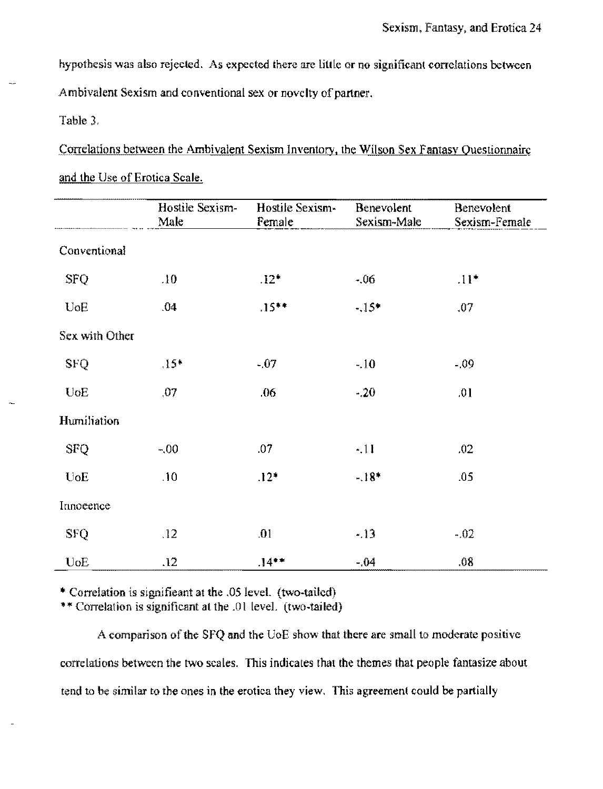hypothesis was also rejected. As expected there are little or no significant correlations between Ambivalent Sexism and conventional sex or novelty of partner.

Table },

Correlations between the Ambivalent Sexism Inventory, the Wilson Sex Fantasy Questionnaire and the Use of Erotica Scale.

|                | Hostile Sexism-<br>Male | Hostile Sexism-<br>Female | Benevolent<br>Sexism-Male | Benevolent<br>Sexism-Female |
|----------------|-------------------------|---------------------------|---------------------------|-----------------------------|
| Conventional   |                         |                           |                           |                             |
| <b>SFQ</b>     | .10                     | $.12*$                    | $-.06$                    | $\Pi^*$                     |
| $U$ o $E$      | .04                     | $.15***$                  | $-.15*$                   | .07                         |
| Sex with Other |                         |                           |                           |                             |
| <b>SFQ</b>     | $.15*$                  | $-07$                     | $-.10$                    | $-09$                       |
| <b>UoE</b>     | 07                      | .06                       | $-20$                     | .01                         |
| Humiliation    |                         |                           |                           |                             |
| <b>SFQ</b>     | $-.00$                  | .07                       | $-.11$                    | .02                         |
| UoE            | .10                     | $.12*$                    | $-.18*$                   | .05                         |
| Innoeence      |                         |                           |                           |                             |
| <b>SFQ</b>     | .12                     | .01                       | $-.13$                    | $-.02$                      |
| UoE            | .12                     | $.14***$                  | $-.04$                    | 08                          |

., Correlation is signifieant at the .05 leveL (two-tailed)

\*\* Correlation is significant at the .01 level. (two-tailed)

A comparison of the SFQ and the UoE show that there are small to moderate positive correlations between the two scales. This indicates that the themes that people fantasize about tend to be similar to the ones in the erotica they view. This agreemenl could be partially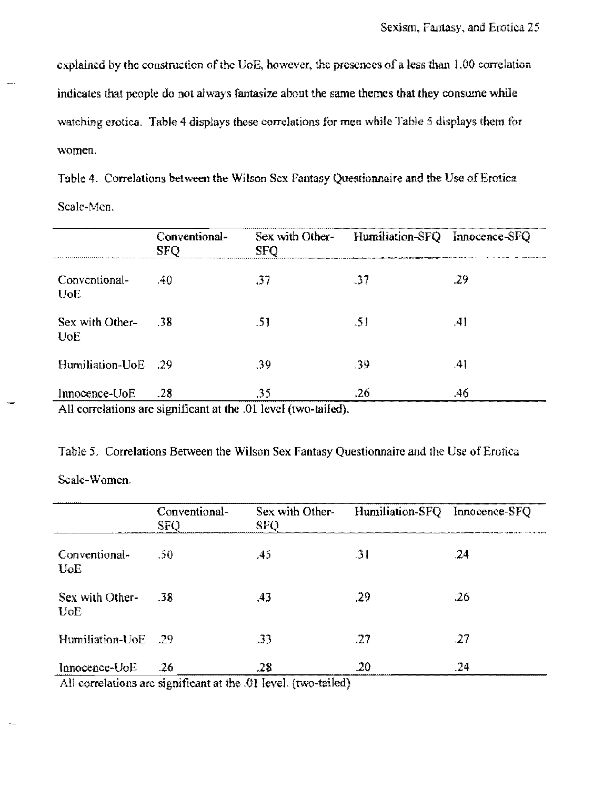explained by the construction of the UoE, however, the presences of a less than 1,00 correlation indicates that people do not always fantasize about the same themes that they consume while watching erotica. Table 4 displays these correlations for men while Table 5 displays them for women.

Table 4. Correlations between the Wilson Sex Fantasy Questionnaire and the Use of Erotiea Scale~Men.

|                               | Conventional-<br><b>SFO</b> | Sex with Other-<br><b>SFO</b>                                                            | Humiliation-SFQ Innocence-SFQ |     |
|-------------------------------|-----------------------------|------------------------------------------------------------------------------------------|-------------------------------|-----|
| Conventional-<br>UoE.         | -40                         | .37                                                                                      | .37                           | -29 |
| Sex with Other-<br><b>UoE</b> | -38                         | -51                                                                                      | .51                           | .41 |
| Humiliation-UoE               | - 29                        | .39                                                                                      | .39                           | .41 |
| Innocence-UoE                 | .28                         | .35<br>. A 11 a comparative and a contact the sense of the CAT (There I Adventure AT I A | .26                           | .46 |

All correlations are significant at the .01 level (two-tailed).

Table 5. Correlations Between the Wilson Sex Fantasy Questionnaire and the Use of Erotica

Scale-Women.

|                                          | Conventional-<br><b>SFO</b> | Sex with Other-<br><b>SFQ</b> | Humiliation-SFQ | Innocence-SFQ |
|------------------------------------------|-----------------------------|-------------------------------|-----------------|---------------|
| Conventional-<br><b>U</b> <sub>o</sub> E | .50                         | .45                           | .31             | .24           |
| Sex with Other-<br><b>UoE</b>            | - 38                        | .43                           | .29             | .26           |
| Humiliation-UoE                          | - 29                        | .33                           | 27              | .27           |
| Innocence-UoE                            | -26<br>$\bullet$<br>$\sim$  | .28<br>.<br>. .<br>$\cdots$   | .20             | .24           |

All correlations arc significant at the .01 level. (two-tailed)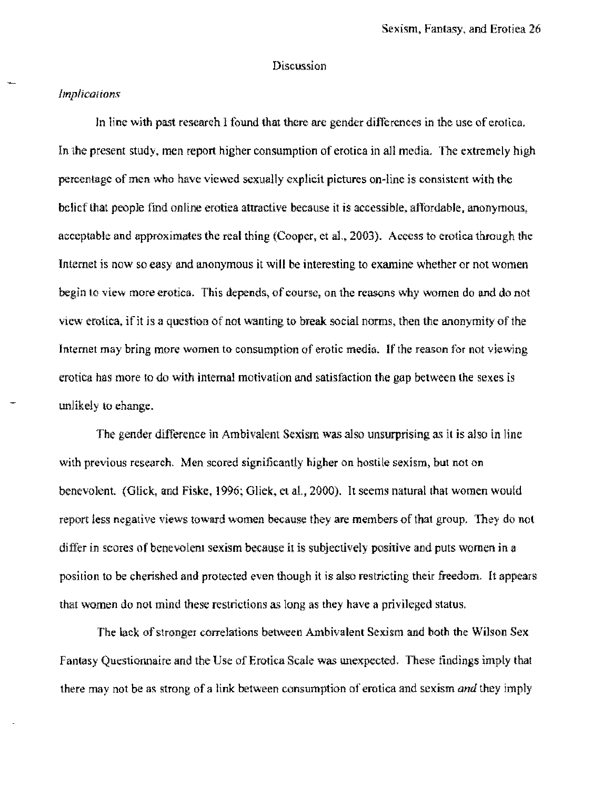## Discussion

### *Implications*

In line with past researeh 1 found that there are gender differences in the use of erotica, In the present study, men report higher consumption of erotica in all media. The extremely high percentage of men who have viewed sexually explicit pictures on-line is consistent with the belief that people find online erotica attractive because it is accessible, affordable, anonymous, acceptable and approximates the real thing (Cooper, et al., 2003). Access to erotica through the Internet is now so easy and anonymous it will be interesting to examine whether or not women begin 10 view more erotica. This depends, of course, on the reasons why women do and do not view erotica, if it is a question of not wanting to break social norms, then the anonymity of the Internet may bring more women to consumption of erotic media. If the reason for not viewing erotica has more 10 do with internal motivation and satisfaction the gap between the sexes is unlikely lo ehange.

The gender difference in Ambivalent Sexism was also unsurprising as it is also in line with previous research. Men scored significantly higher on hostile sexism, but not on benevolent. (Glick, and Fiske, 1996; Gliek, et al., 2000). It seems natural that women would report less negative views toward women because they are members of that group, They do not differ in scores of benevolent sexism because it is subjectively positive and puts women in a position to be cherished and protected even though it is also restricting their freedom. It appears that women do not mind these restrictions as long as they have a privileged status.

The lack of stronger correlations between Ambivalent Sexism and both the Wilson Sex Fantasy Questionnaire and the Use of Erotica Scale was unexpected, These findings imply that there may not be as strong of a link between consumption of erotica and sexism *and* they imply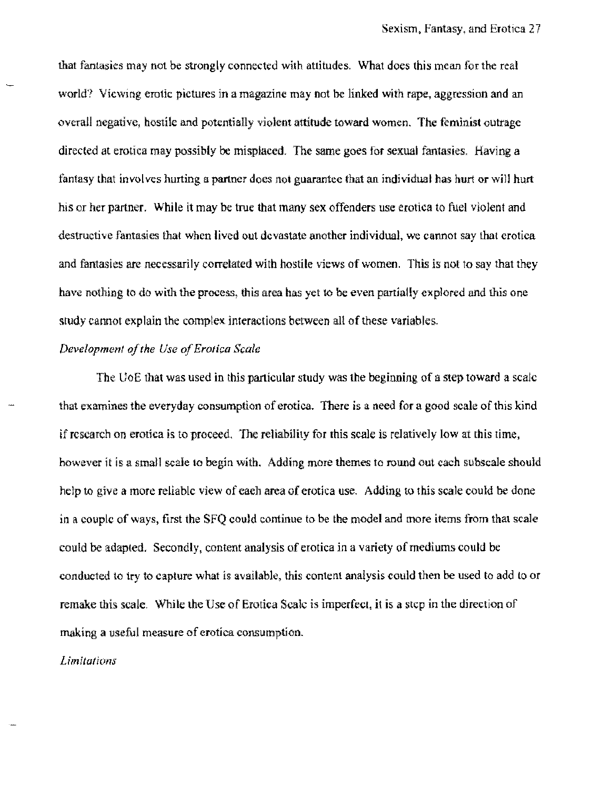that fantasies may not be strongly connected with attitudes. What does this mean for the real world? Viewmg erotic pictures in a magazine may not be linked with rape, aggression and an overall negative, hostile and potentially violent attitude toward women. The feminist outrage directed at erotica may possibly be misplaced. The same goes for sexual fantasies. Having a fantasy that involves hurting a partner does not guarantee that an individual has hurt or will hurt his or her partner. While it may be true that many sex offenders use erotica to fuel violent and destructive fantasies that when lived out devastate another individual, we cannot say that erotica and fantasies are necessarily correlated with hostile views of women. This is not to say that they have nothing to do with the process, this area has yet to be even partially explored and this one study cannot explain the complex interactions between all of these variables.

### *Development of the Use of Erotica Scale*

The UoE that was used in this particular study was the beginning of a step toward a scale that examines the everyday consumption of erotica. There is a need for a good scale of this kind if research on erotica is to proceed. The reliability for this scale is relatively low at this time, however it is a small scale to begin with. Adding more themes to round out each subscale should help to give a more reliable view of eaeh area of erotica use. Adding to this scale could be done in a couplc of ways, first the SFQ could continue to be the model and more items from that scale could be adapted. Secondly, content analysis of erotica in a variety of mediums could be conducted to try to capture what is available, this content analysis could then be used to add to or remake this scale. While the Use of Erotica Scale is imperfect, it is a step in the direction of making a useful measure of erotica consumption.

*Limitations*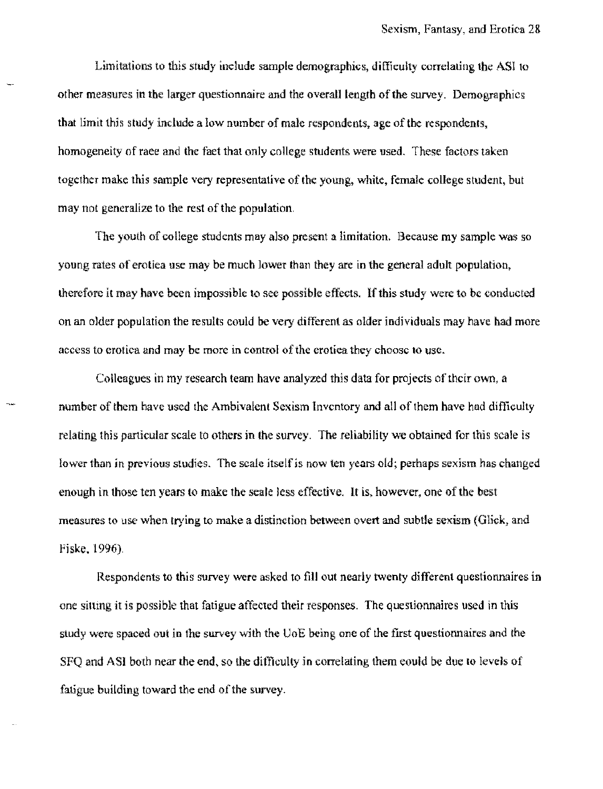Limitations to this study inelude sample demographics, difficulty correlating the ASI to other measures in the larger questionnaire and the overall length of the survey. Demographics that limit this study include a low number of male respondents, age of the respondents, homogeneity of raee and the fact that only college students were used. These factors taken together make this sample very representative of the young, white, female college student, but may not generalize to the rest of the population.

The youth of college students may also present a limitation. Because my sample was so young rates of erotica usc may be much lower than they are in the general adult population. therefore it may have been impossible to see possible effects. If this study were to be conducted on an older population the results could be very different as older individuals may have had more access to erotica and may be more in control of the erotiea they choose to use.

Colleagues in my research team have analyzed this data for projects of their own, a number of them have used the Ambivalent Sexism Inventory and all of them have had difficulty relating this particular scale to others in the survey. The reliability we obtained for this scale is lower than in previous studies. The scale itself is now ten years old; perhaps sexism has changed enough in those ten years to make the seale less effective. It is, however, one of the best measures to use when trying to make a distinction between overt and subtle sexism {Glick, and Fiske. 1996).

Respondents to this survey were asked to fill out neatly twenty different questionnaires in one sitting it is possible that fatigue affected their responses. The questionnaires used in this study were spaced out in the survey with the U.O.E being one of the first questionnaires and the SFQ and ASI both near the end, so the difficulty in correlating them eould be due to levels of fatigue building toward the end of the survey.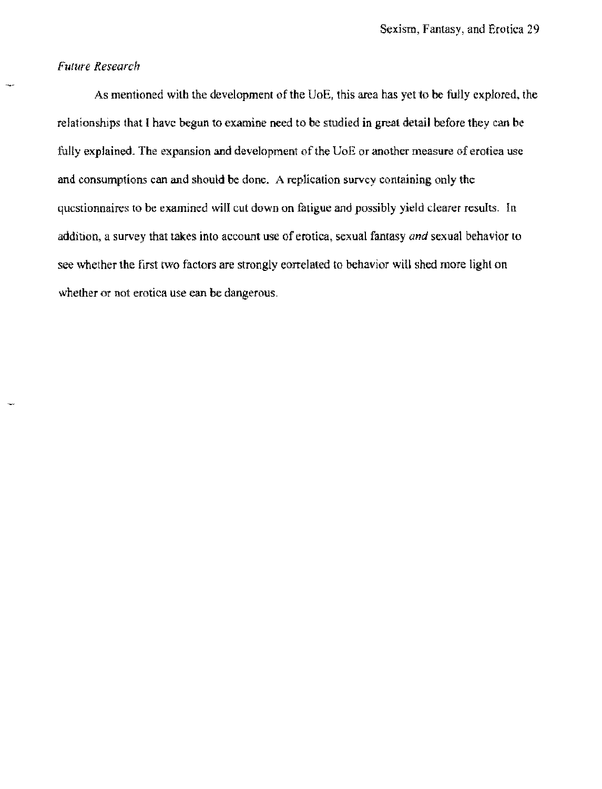# *<i>future Research*

As mentioned with the development of the UoE, this area has yet to be fully explored, the relationships that I havc begun to examine need to be studied in great detail before they can be fully explained. The expansion and development of the UoE or another measure of erotica use and consumptions can and should be done. A replication survey containing on1y the questionnaires to be examined will cut down on fatigue and possibly yield dearer results. In addition, a survey that takes into account use of erotica, sexual fantasy *and* sexual behavior to see whether the first two factors are strongly correlated to behavior will shed more light on whether or not erotica use can be dangerous.

**There**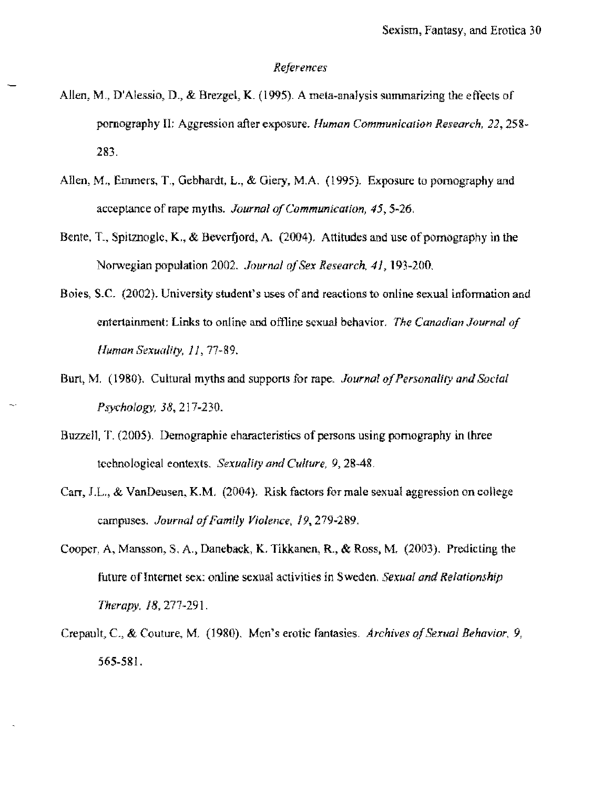### *References*

- Allen, M., D'Alessio. D., & Brezgci, K. (1995). A meta-analysis summarizing the eftects of pornography II: Aggression after exposure. *Human Communication Research*, 22, 258<sup>\*</sup> 283.
- Allen, M., Emmers, T., Gebhardt, L., & Giery, M.A. (1995). Exposure to pornography and acceptance of rape myths. *Journalo/Communication,* 45,5-26,
- Bente, T., Spitznogle, K., & Beverfjord, A.  $(2004)$ . Attitudes and use of pornography in the Norwegian population 2002. *Journal of Sex Research*, 41, 193-200.
- Boies, S.C. (2002). University student's uses of and reactions to online sexual information and entertainment: Links to online and offline sexual behavior. *The Canadian Journal of Human Sexuality, 11, 77-89.*
- Burt, M. (1980). Cultural myths and supports for rape. *Journal of Personality and Social Psychology.* 38,217-230.
- Buzzell, T. (2005). Demographle characteristics of persons using pornography in lhree tcchnological eontexts. *Sexuality and Culture*, 9, 28-48.
- Carr, J.L., & VanDeusen, K.M. (2004). Risk factors for male sexual aggression on college campuses. *Journalo/Famfly Violence,* 19, 279~289.
- Cooper. A, Mansson, S. A., Daneback, K. Tikkanen. R., & Ross, M. (2003). Predicting the future of Internet sex; online sexual activities in Sweden. *Sexual and Relationship Therapy.* 18,277-291.
- Crepault, c., & Couture, M, (1980). Men's erotic fantasies. *Archives of Sexual Behavior, 9.*  565-581.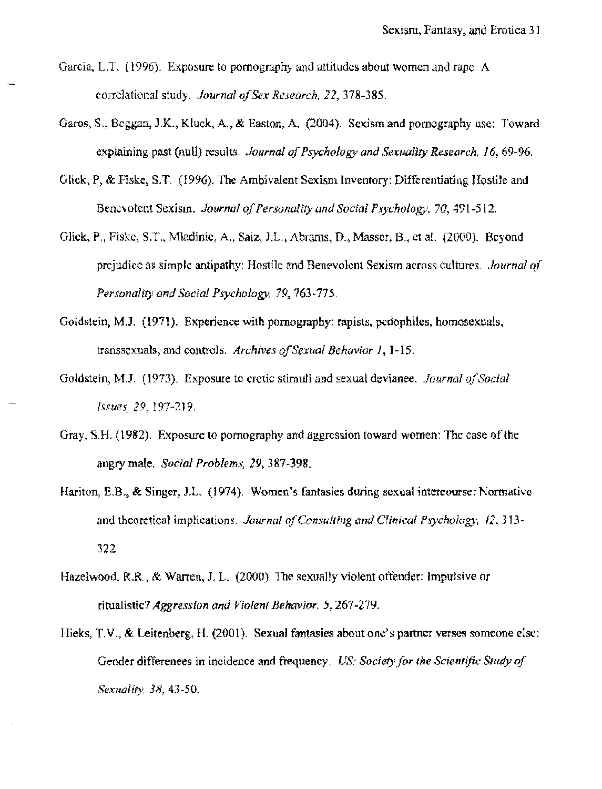- Garcia, L.T. (1996). Exposure to pornography and attitudes about women and rape: A correlational study. *Journal of Sex Research.* 22,378-385.
- Garos, S., Beggan, J.K., Kluck. A., & Easton, A. (2004). Sexism and pornography use: Toward explaining past (null) results. *Journal of Psychology and Sexuality Research.* 16,69-%.
- Glick, P, & Fiske, S.T. (1996). The Ambivalent Sexism Inventory: Differentiating Hostile and Benevolent Sexism. *Journal of Personality and Social Psychology,* 70,491-512.
- Glick, P., Fiske, S.T., Mladinic, A., Saiz, J.L., Abrams, D., Masser, B., et al. (2000). Beyond prejudice as simple antipathy: Hostile and Benevolent Sexism aeross cultures, *Journal of Personality and Social Psychology,* 79,763-775.
- Goldstein, M.J. (1971). Experience with pornography: rapists, pedophiles, homosexuals, transsexuals, and controls. *Archives afSexual Behavior* 1, 1-15,
- Goldstein, M.J. (1973). Exposure to erotic stimuJi and sexual devtanee. *Journal a/Social Issues,* 29, 197-219.
- Gray, S.H. (1982). Exposure to pomography and aggression toward women: The case of the angry male. *Social Problems,* 29,387-398,
- Hariton, E.B., & Singer, J.L. (1974). Women's fantasies during sexual intercourse: Normative and theoretical implications. *Journal of Consulting and Clinical Psychology, 42,313-*322.
- Hazelwood, R.R., & Warren, J. L. (2000). The sexually violent offender: Impulsive or ritualistic? *Aggression and Violent Behavior*, 5, 267-279.
- Hieks, T, V., & Leitenberg, H. (2001). Sexual fantasies about one's partner verses someone else; Gender differenees in incidence and frequency, *US: Society for the Scientific Study of Sexuality,* 38,43-50.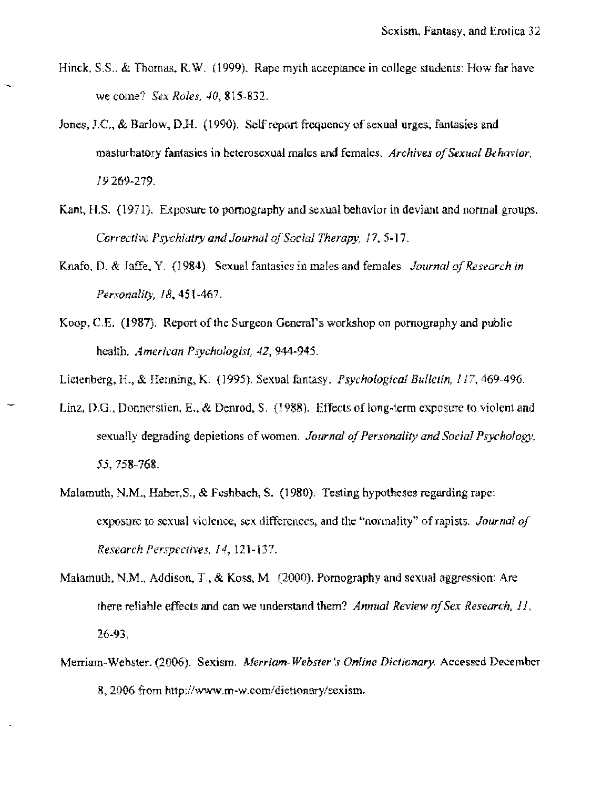- Hinck, S.S., & Thomas, R.W. (1999). Rape myth acceptance in college students: How far have we come? *Sex Roles, 40,815-832.*
- Jones, J.C., & Barlow, D.H. (1990). Self report frequency of sexual urges, fantasies and masturbatory fantasies in heterosexual males and females. *Archives of Sexual Behavior.*  19269-279.
- Kant, H.S. (1971). Exposure to pornography and sexual behavior in deviant and normal groups. *Corrective Psychiatry and Journal of Social Therapy, 17, 5-17.*
- Knafo, D. & Jaffe, Y. (1984). Sexual fantasies in males and females. *Journal of Research in Personality,* 18,451-467.
- Koop, C.E. (1987). Report of the Surgeon General's workshop on pomography and public health. *American Psychologist,* 42,944-945.
- Lictcnberg, H., & Henning, K. (1995). Sexual fantasy. *Psychological Bullelin,* 117\_ 469-496.
- Linz, D.G., Donnerstien, E., & Denrod, S. (1988). Effects of long-term exposure to violent and sexually degrading depietions of women. *Journal oj Personality and Social Psychology,*  55,758-768.
- Malamuth, N.M., Haher,S., & Feshbach, S. (1980). Testing hypotheses regarding rape: exposure to sexual violence, sex differenees, and the "normality" of rapists. *Journal of Research Perspectives,* 14, 121~i37.
- Malamuth, N.M., Addison, T., & Koss, M. (2000). Pornography and sexual aggression: Are there reliable effects and can we understand them? *Annual Review of Sex Research*, 11, 26-93.
- Merriam-Webster. (2006). Sexism. Merriam-Webster's Online Dictionary. Accessed December 8, 2006 from http://W\VW.m-w.com/dietlonary/sexism.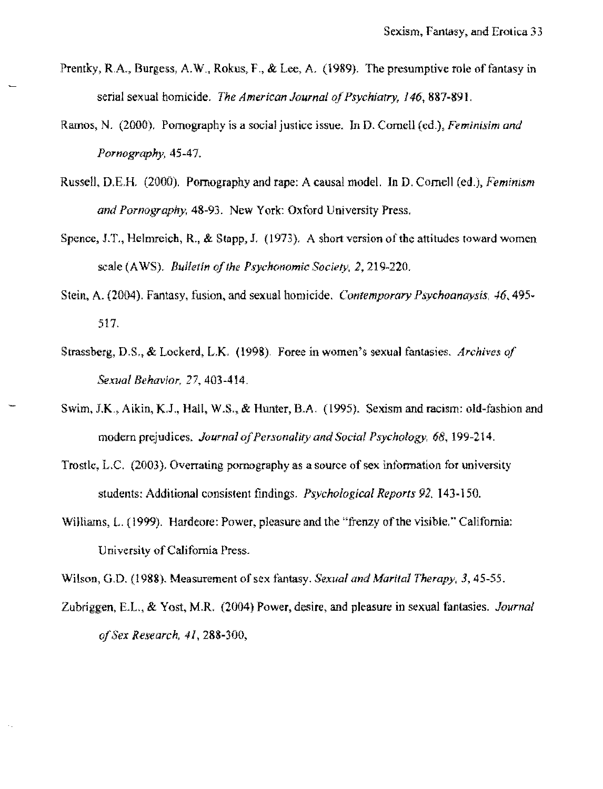- Prentky, R.A., Burgess, A.W., Rokus, F., & Lee, A. (1989). The presumptive role of fantasy in serial sexual homicide. *The American Journal of Psychiatry,* 146, 887~891,
- Ramos, N. (2000), Pornography is a social justice issue. In D. Cornell (cd.), *Feminisim and Pornography, 45-47,*
- Russell, D,ER (2000), Pornography and rape: A causal model. In D, Cornell (ed,), *Feminism and Pornography,* 48-93. New York: Oxford University Press,
- Spence, J.T., Helmreich, R., & Stapp, J. (1973). A short version of the attitudes toward women scale (AWS), *Bulletin of the Psychonomic Society*, 2, 219-220.
- Stein, A. (2004). Fantasy, fusion, and sexual homicide. *Contemporary Psychoanaysis*, 46, 495 -517,
- Strassberg, D.S,. & Lockerd, LX. (1998). Foree in women's sexual fantasies, *Archives of Sexual Behavior,* 27,403-414,
- Swim, J.K., Aikin, K.J., Hall, W.S., & Hunter, B.A. (1995). Sexism and racism: old-fashion and modern prejudices. *Journal of Personality and Social Psychology, 68*, 199-214.
- Trostle, L.C. (2003). Overrating pornography as a source of sex information for university students: Additional consistent findings. *Psychological Reports* 92, 143~150,
- Williams, L. (1999). Hardeore: Power, pleasure and the "frenzy of the visible." California: University of California Press.

Wilson, G,D. (1988). Measurement of sex fantasy. *Sexual and Afarital Therapy,* 3,45-55.

Zubriggen, E.t., & Yost, M.R, (2004) Power. desire, and pleasure **in** sexual fantasies, *Journal aJSex Research,* 41,288-300,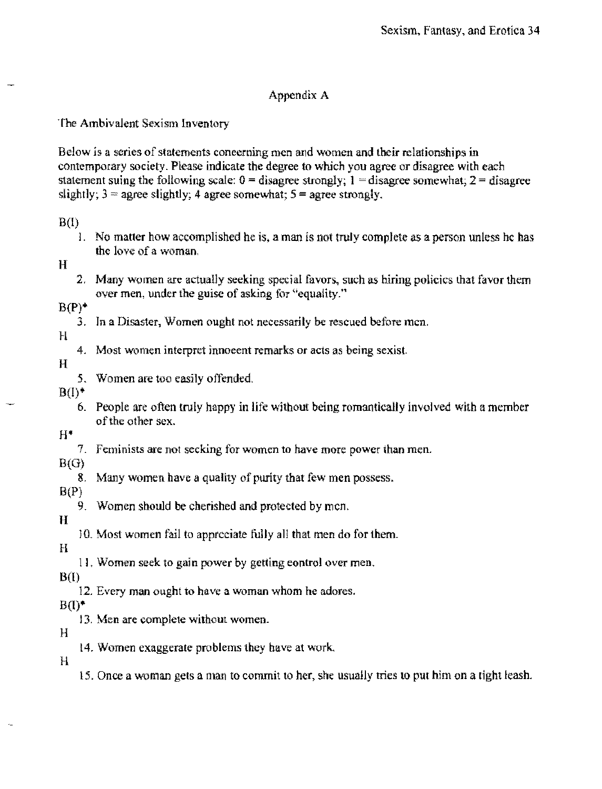# Appendix A

The Ambivalent Sexism inventory

Below is a series of statements coneerning men and women and their relationships in contemporary society. Please indicate the degree to which you agree or disagree with each statement suing the following scale:  $0 =$  disagree strongly;  $1 =$  disagree somewhat;  $2 =$  disagree slightly;  $3 =$  agree slightly; 4 agree somewhat;  $5 =$  agree strongly.

## $B(I)$

1. No matter how accomplished he is, a man is not truly complete as a person unless he has the love of a woman.

H

2, Many women are actually seeking special favors, such as hiring policies that favor them over men, under the guise of asking for "equality."

 $B(P)^*$ 

3. Tn a Disaster, Women ought not necessarily be rescued before men.

# $H$

4. Most women interpret innoeent remarks or acts as being sexist.

## H

- 5. Women are too easily offended.
- $B(1)^*$ 
	- 6. People are often truly happy in life without being romantically involved with a member of the other sex.

## $H^*$

7. Feminists are not seeking for women to have more power than men.

# $B(G)$

8. Many women have a quality of purity that few men possess.

# $B(P)$

9. Women should be cherished and protected by men,

## H

10. Most women fail to appreciate fully all that men do for them.

H

11, Women seek to gain power by getting control over men.

# $B(I)$

12. Every man ought to have a woman whom he adores.

# $B(1)$ <sup>\*</sup>

13. Men are complete without women.

# H

14. Women exaggerate problems they have at work.

## H

15, Once a woman gets a man to commit to her, she usually tries to put him on a tight leash.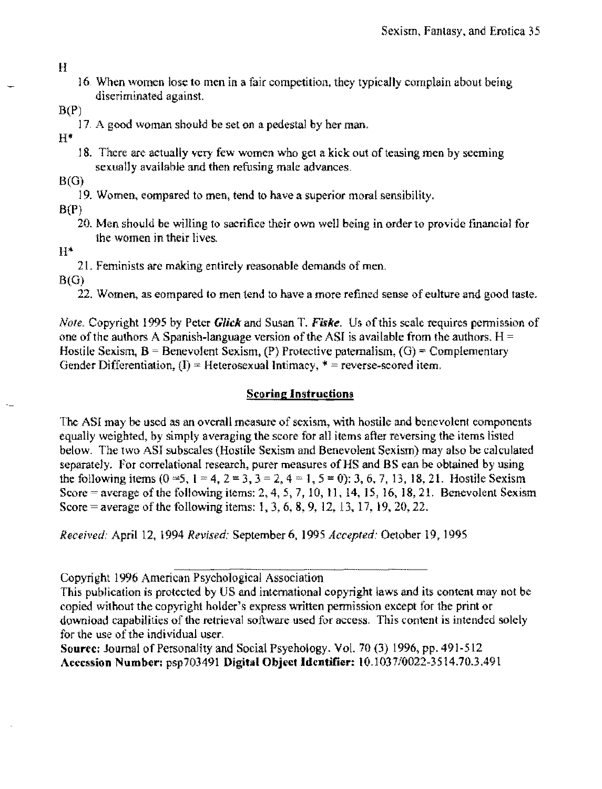#### H

- 16 Vlhen women lose to men in a fair competition, they typicaJly complain about being diseriminated against
- $B(P)$ 
	- 17. A good woman should be set on a pedestal by her man.

H\*

18. There are actually very few women who get a kick out of teasing men by seeming sexually availabie and then refusing male advances.

B(G)

19. Women, eompared to men, tend to have a superior moral sensibility.

 $B(P)$ 

20. Men should be willing to sacrifice their own well being in order to provide financial for the women in their lives.

 $H^*$ 

21. Feminists are making entirely reasonable demands of men.

B(G)

22. Women, as compared to men tend to have a more refIned sense of eulture and good taste.

*Note.* Copyright 1995 by Peter *Glick* and Susan T. *Fiske.* Us of this scale requires permission of one of the authors A Spanish-language version of the ASI is available from the authors.  $H =$ Hostile Sexism,  $B$  = Benevolent Sexism. (P) Protective paternalism. (G) = Complementary Gender Differentiation,  $(I)$  = Heterosexual Intimacy,  $*$  = reverse-scored item.

# Scoring Instructions

The ASI may be used as an overall measure of sexism, with hostile and benevolent components equally weighted, by simply averaging the score for all items after reversing the items listed below. The two ASI subscales (Hostile Sexism and Benevolent Sexism) may also be calculated separately. For correlational research, purer measures of HS and BS can be obtained by using the following items  $(0 = 5, 1 = 4, 2 = 3, 3 = 2, 4 = 1, 5 = 0)$ : 3, 6, 7, 13, 18, 21. Hostile Sexism Score = average of the following items: 2, 4, 5, 7, 10, 11, 14, 15, 16, 18, 21. Benevolent Sexism Score = average of the following items: 1, 3, 6, 8, 9, 12, 13, 17, 19, 20, 22.

*Received.* April 12, 1994 *Revised:* September 6, 1995 *Accepted:* October 19, 1995

Copyright 1996 American Psychological Association

This publication is protected by US and international copyright laws and its content may not be copied without the copyright holder's express written permission except for the print or download capabiJities of the retrieval software used for access. This content is intended solely for the use of the individual user.

Source: Journal of Personality and Social Psychology. Vol. 70 (3) 1996, pp. 491-512 Accession Number: psp703491 Digital Object Identifier: IO.1037i0022,3514.70.3,491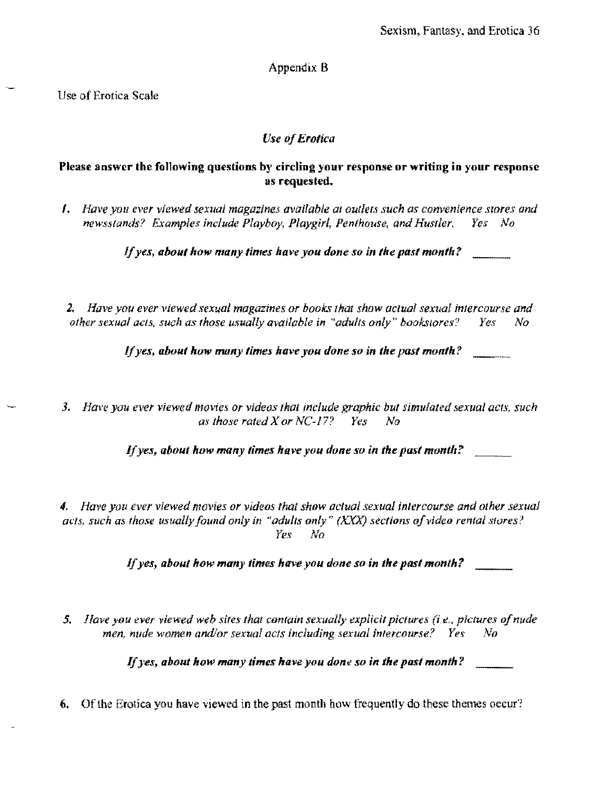# Appendix B

Use of Erotica Scale

# *Use of Erotica*

# Please answer the following questions by circling your response or writing in your response as requested.

*I. Have you ever yiewed sexual magazines available at outlets such as convenience stores and newsstands? Examples include Playboy, Playgirl, Pen/house, and HusIler. Yes No* 

*I/yes, about how many times have you done so in the past month?* 

*2. Have you ever viewed sexual magazines or books 1hat show aclual sexual intercourse and other sexual acts, such as those usually available in "adults only" bookstores? Yes No* 

*If yes, about how mony times have you done so in the past month?* 

*3. HaW! you ever viewed movies or videos thal include graphic but simulated sexual aCfs, such*  as *those rated X or NC-17? Yes No* 

*If yes, about how many times have you done so in the past montlt?* 

*4. Have you ever viewed movies or videos that show aclual sexual intercourse and olher sexual*  acts, such as those usually found only in "adults only" (XXX) sections of video rental stores? *Yes* No

*If yes, about how many times have you done so in the past monlh?* 

*5. Have you ever viewed web sites that contain sexually explicit pictures (i.e., pictures of nude men nude women and/or sexual acls including sexual intercourse? Yes No* 

If *yes, about how many times have you done so in the past month?* 

6. Of the Erotica you have viewed in the past month how frequently do these themes occur?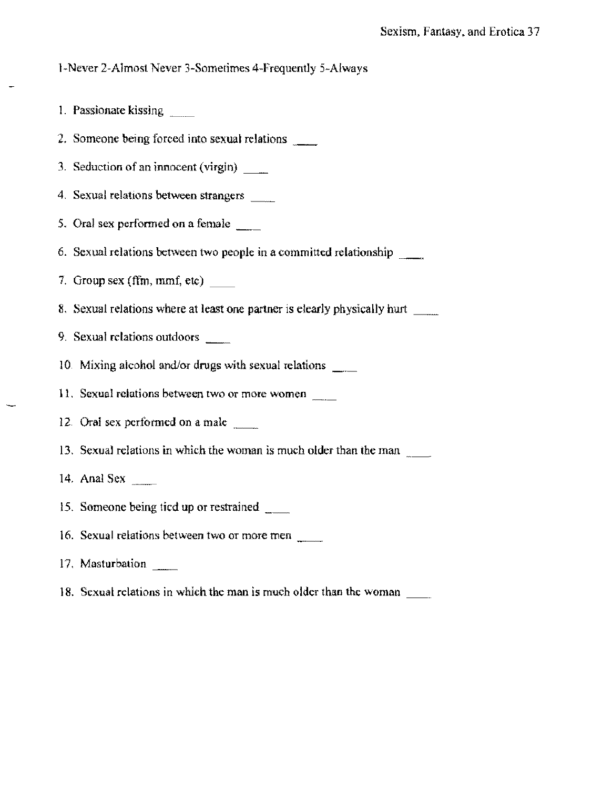## l-Never 2-Almost Never 3-Sometimes 4-Frequently 5-Always

- 1. Passionate kissing \_ .. ~
- 2. Someone being forced into sexual relations \_\_\_
- 3. Seduction of an innocent (virgin) \_\_\_
- 4. Sexual relations between strangers
- 5. Oral sex performed on a female  $\qquad$
- 6. Sexual relations between two people in a committed relationship
- 7. Group sex (ffm, mmf, etc)  $\qquad$
- 8. Sexual relations where at least one partner is elearly physically hurt
- 9. Sexual rclations outdoors
- 10. Mixing alcohol and/or drugs with sexual relations \_\_\_\_
- 11. Sexual relations between two or more women
- 12. Oral sex performed on a male
- 13. Sexual relations in which the woman is much older than the man
- 14. Anal Sex
- 15. Someone being tied **up** or restrained \_\_
- 16. Sexual relations between two or more men
- 17, Masturbation
- 18. Sexual relations in which the man is much older than the woman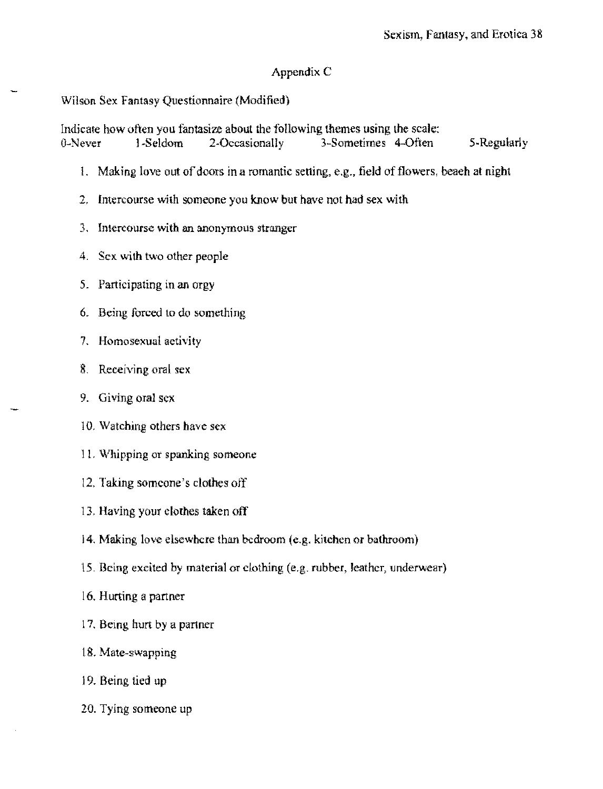# Appendix C

# Wilson Sex Fantasy Questionnaire (Modified)

Indicate how often you fantasize about the following themes using the scale:<br>0-Never 1-Seldom 2-Occasionally 3-Sometimes 4-Often 3-Sometimes 4-Often 5-Regularly

- 1. Making love out of doors in a romantic setting, e.g., field of flowers, beaeh at night
- 2, Intercourse with someone you know but have not had sex with
- 3, Intercourse with an anonymous stranger
- 4. Sex with two other people
- 5. Participating in an orgy
- 6. Being forced to do something
- 7. Homosexual activity
- 8. Receiving oral sex
- 9. Giving oral sex
- 10. Watching others have sex
- 11. Whipping or spanking someone
- 12. Taking someone's clothes off
- 13, Having your clothes taken off
- 14. Making love elsewhere than bedroom (e.g. kitchen or bathroom)
- 15. Being excited by material or clothing (e,g. rubber, leather. underwear)
- 16, Hurting a partner
- 17, Being hurt by a partner
- 18. Mate~swapping
- 19. Being tied up
- 20. Tying someone up